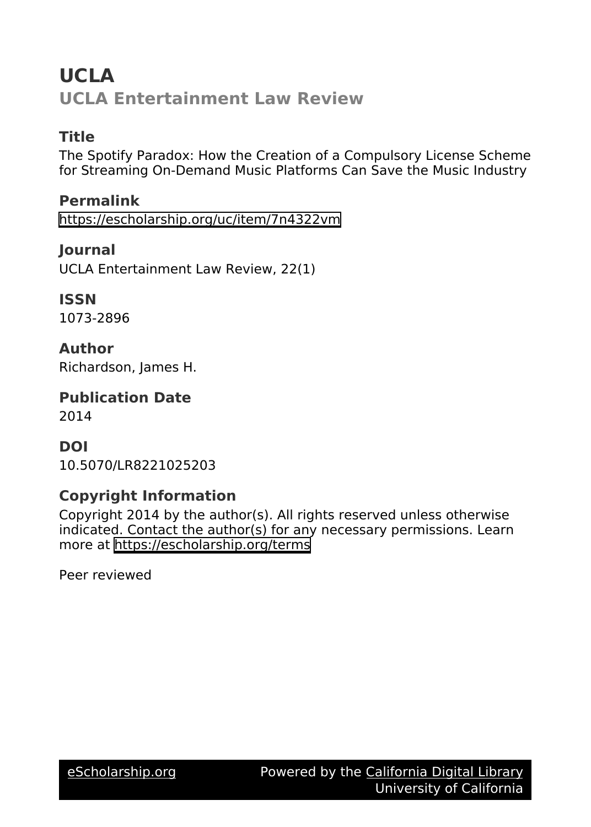# **UCLA UCLA Entertainment Law Review**

# **Title**

The Spotify Paradox: How the Creation of a Compulsory License Scheme for Streaming On-Demand Music Platforms Can Save the Music Industry

**Permalink**

<https://escholarship.org/uc/item/7n4322vm>

**Journal**

UCLA Entertainment Law Review, 22(1)

**ISSN**

1073-2896

**Author** Richardson, James H.

**Publication Date** 2014

# **DOI**

10.5070/LR8221025203

# **Copyright Information**

Copyright 2014 by the author(s). All rights reserved unless otherwise indicated. Contact the author(s) for any necessary permissions. Learn more at <https://escholarship.org/terms>

Peer reviewed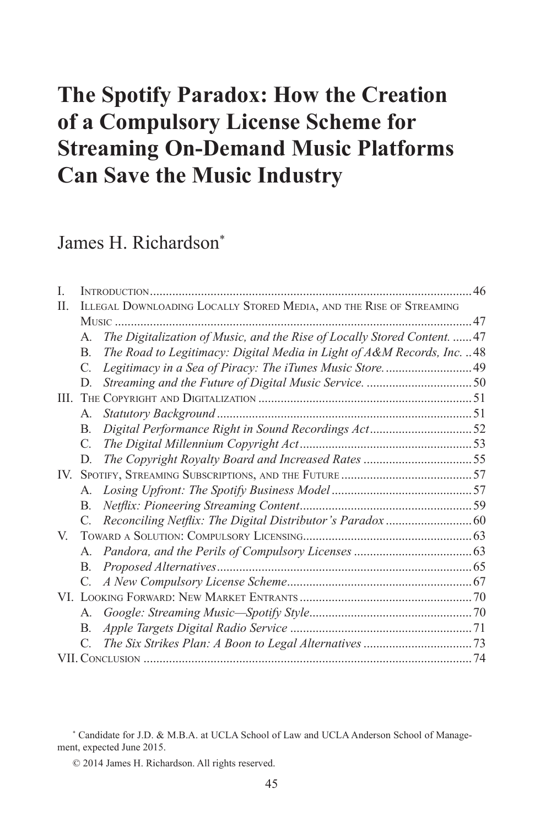# **The Spotify Paradox: How the Creation of a Compulsory License Scheme for Streaming On-Demand Music Platforms Can Save the Music Industry**

# James H. Richardson\*

| L  |                                                                     |                                                                          |  |
|----|---------------------------------------------------------------------|--------------------------------------------------------------------------|--|
| П. | ILLEGAL DOWNLOADING LOCALLY STORED MEDIA, AND THE RISE OF STREAMING |                                                                          |  |
|    | MUSE                                                                |                                                                          |  |
|    | A.                                                                  | The Digitalization of Music, and the Rise of Locally Stored Content.  47 |  |
|    | B.                                                                  | The Road to Legitimacy: Digital Media in Light of A&M Records, Inc. 48   |  |
|    | $C_{\cdot}$                                                         | Legitimacy in a Sea of Piracy: The iTunes Music Store49                  |  |
|    | D.                                                                  |                                                                          |  |
|    |                                                                     |                                                                          |  |
|    | $\mathsf{A}$                                                        |                                                                          |  |
|    | B.                                                                  | Digital Performance Right in Sound Recordings Act52                      |  |
|    | C                                                                   |                                                                          |  |
|    | D.                                                                  |                                                                          |  |
|    |                                                                     |                                                                          |  |
|    | $A_{-}$                                                             |                                                                          |  |
|    | B.                                                                  |                                                                          |  |
|    | C.                                                                  |                                                                          |  |
| V. |                                                                     |                                                                          |  |
|    |                                                                     |                                                                          |  |
|    | B.                                                                  |                                                                          |  |
|    | C.                                                                  |                                                                          |  |
|    |                                                                     |                                                                          |  |
|    | A.                                                                  |                                                                          |  |
|    | B.                                                                  |                                                                          |  |
|    | C.                                                                  |                                                                          |  |
|    |                                                                     |                                                                          |  |

\* Candidate for J.D. & M.B.A. at UCLA School of Law and UCLA Anderson School of Management, expected June 2015.

© 2014 James H. Richardson. All rights reserved.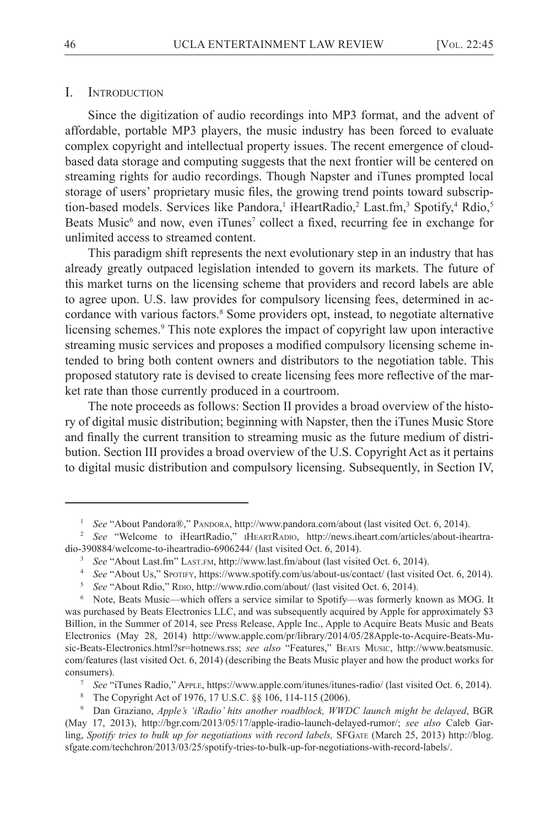#### <span id="page-2-0"></span>I. Introduction

Since the digitization of audio recordings into MP3 format, and the advent of affordable, portable MP3 players, the music industry has been forced to evaluate complex copyright and intellectual property issues. The recent emergence of cloudbased data storage and computing suggests that the next frontier will be centered on streaming rights for audio recordings. Though Napster and iTunes prompted local storage of users' proprietary music files, the growing trend points toward subscription-based models. Services like Pandora,<sup>1</sup> iHeartRadio,<sup>2</sup> Last.fm,<sup>3</sup> Spotify,<sup>4</sup> Rdio,<sup>5</sup> Beats Music<sup>6</sup> and now, even iTunes<sup>7</sup> collect a fixed, recurring fee in exchange for unlimited access to streamed content.

This paradigm shift represents the next evolutionary step in an industry that has already greatly outpaced legislation intended to govern its markets. The future of this market turns on the licensing scheme that providers and record labels are able to agree upon. U.S. law provides for compulsory licensing fees, determined in accordance with various factors.<sup>8</sup> Some providers opt, instead, to negotiate alternative licensing schemes.<sup>9</sup> This note explores the impact of copyright law upon interactive streaming music services and proposes a modified compulsory licensing scheme intended to bring both content owners and distributors to the negotiation table. This proposed statutory rate is devised to create licensing fees more reflective of the market rate than those currently produced in a courtroom.

The note proceeds as follows: Section II provides a broad overview of the history of digital music distribution; beginning with Napster, then the iTunes Music Store and finally the current transition to streaming music as the future medium of distribution. Section III provides a broad overview of the U.S. Copyright Act as it pertains to digital music distribution and compulsory licensing. Subsequently, in Section IV,

<sup>1</sup> *See* "About Pandora®," Pandora, [http://www.pandora.com/about \(last visited Oct. 6, 2014](http://www.pandora.com/about (last visited Oct. 6, 2014)).

<sup>2</sup> *See* "Welcome to iHeartRadio," iHeartRadio, [http://news.iheart.com/articles/about-iheartra](http://news.iheart.com/articles/about-iheartradio-390884/welcome-to-iheartradio-6906244)[dio-390884/welcome-to-iheartradio-6906244/](http://news.iheart.com/articles/about-iheartradio-390884/welcome-to-iheartradio-6906244) (last visited Oct. 6, 2014).

<sup>3</sup> *See* "About Last.fm" Last.fm, [http://www.last.fm/about \(last visited Oct. 6, 2014\)](http://www.last.fm/about (last visited Oct. 6, 2014).

<sup>&</sup>lt;sup>4</sup> *See* "About Us," SpoTIFY,<https://www.spotify.com/us/about-us/contact/> (last visited Oct. 6, 2014).

<sup>&</sup>lt;sup>5</sup> *See* "About Rdio," RDIO, <http://www.rdio.com/about/>(last visited Oct. 6, 2014).

<sup>6</sup> Note, Beats Music—which offers a service similar to Spotify—was formerly known as MOG. It was purchased by Beats Electronics LLC, and was subsequently acquired by Apple for approximately \$3 Billion, in the Summer of 2014, see Press Release, Apple Inc., Apple to Acquire Beats Music and Beats Electronics (May 28, 2014) [http://www.apple.com/pr/library/2014/05/28Apple-to-Acquire-Beats-Mu](http://www.apple.com/pr/library/2014/05/28Apple-to-Acquire-Beats-Music-Beats-Electronics.html?sr=hot)[sic-Beats-Electronics.html?sr=hotnews.rss](http://www.apple.com/pr/library/2014/05/28Apple-to-Acquire-Beats-Music-Beats-Electronics.html?sr=hot); *see also* "Features," Beats Music, [http://www.beatsmusic.](http://www.beatsmusic.com/features ) [com/features](http://www.beatsmusic.com/features ) (last visited Oct. 6, 2014) (describing the Beats Music player and how the product works for consumers).

<sup>7</sup> *See* "iTunes Radio," Apple, <https://www.apple.com/itunes/itunes-radio/> (last visited Oct. 6, 2014).

<sup>8</sup> The Copyright Act of 1976, 17 U.S.C. §§ 106, 114-115 (2006).

<sup>9</sup> Dan Graziano, *Apple's 'iRadio' hits another roadblock, WWDC launch might be delayed*, BGR (May 17, 2013), [http://bgr.com/2013/05/17/apple-iradio-launch-delayed-rumor/;](http://bgr.com/2013/05/17/apple-iradio-launch-delayed-rumor/) *see also* Caleb Garling, *Spotify tries to bulk up for negotiations with record labels,* SFGate (March 25, 2013) h[ttp://blog.](ttp://blog.sfgate.com/techchron/2013/03/25/spotify-tries-to-bulk-up-for-negotiations-with-record-lab) [sfgate.com/techchron/2013/03/25/spotify-tries-to-bulk-up-for-negotiations-with-record-labels/.](ttp://blog.sfgate.com/techchron/2013/03/25/spotify-tries-to-bulk-up-for-negotiations-with-record-lab)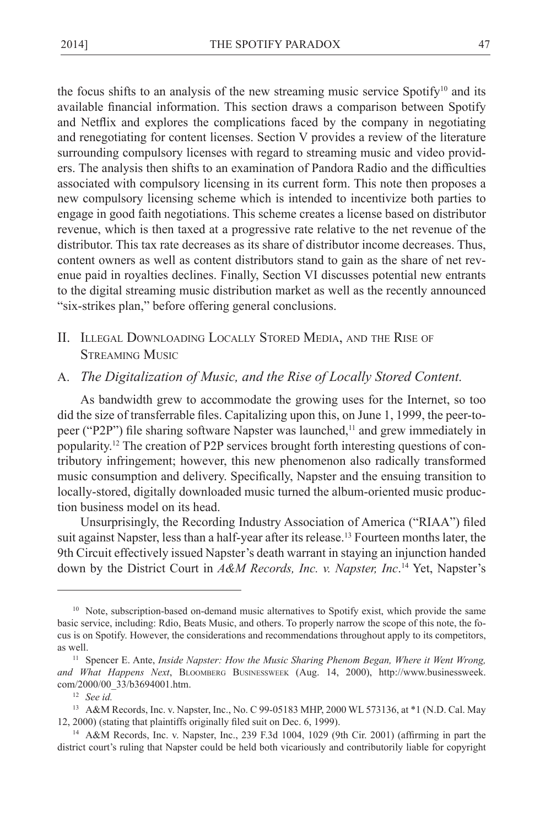<span id="page-3-0"></span>the focus shifts to an analysis of the new streaming music service Spotify<sup>10</sup> and its available financial information. This section draws a comparison between Spotify and Netflix and explores the complications faced by the company in negotiating and renegotiating for content licenses. Section V provides a review of the literature surrounding compulsory licenses with regard to streaming music and video providers. The analysis then shifts to an examination of Pandora Radio and the difficulties associated with compulsory licensing in its current form. This note then proposes a new compulsory licensing scheme which is intended to incentivize both parties to engage in good faith negotiations. This scheme creates a license based on distributor revenue, which is then taxed at a progressive rate relative to the net revenue of the distributor. This tax rate decreases as its share of distributor income decreases. Thus, content owners as well as content distributors stand to gain as the share of net revenue paid in royalties declines. Finally, Section VI discusses potential new entrants to the digital streaming music distribution market as well as the recently announced "six-strikes plan," before offering general conclusions.

- II. Illegal Downloading Locally Stored Media, and the Rise of Streaming Music
- A. *The Digitalization of Music, and the Rise of Locally Stored Content.*

As bandwidth grew to accommodate the growing uses for the Internet, so too did the size of transferrable files. Capitalizing upon this, on June 1, 1999, the peer-topeer ("P2P") file sharing software Napster was launched,<sup>11</sup> and grew immediately in popularity.12 The creation of P2P services brought forth interesting questions of contributory infringement; however, this new phenomenon also radically transformed music consumption and delivery. Specifically, Napster and the ensuing transition to locally-stored, digitally downloaded music turned the album-oriented music production business model on its head.

Unsurprisingly, the Recording Industry Association of America ("RIAA") filed suit against Napster, less than a half-year after its release.13 Fourteen months later, the 9th Circuit effectively issued Napster's death warrant in staying an injunction handed down by the District Court in *A&M Records, Inc. v. Napster, Inc*. <sup>14</sup> Yet, Napster's

<sup>&</sup>lt;sup>10</sup> Note, subscription-based on-demand music alternatives to Spotify exist, which provide the same basic service, including: Rdio, Beats Music, and others. To properly narrow the scope of this note, the focus is on Spotify. However, the considerations and recommendations throughout apply to its competitors, as well.

<sup>11</sup> Spencer E. Ante, *Inside Napster: How the Music Sharing Phenom Began, Where it Went Wrong, and What Happens Next*, Bloomberg Businessweek (Aug. 14, 2000), [http://www.businessweek.](http://www.businessweek.com/2000/00_33/b3694001.htm.) [com/2000/00\\_33/b3694001.htm.](http://www.businessweek.com/2000/00_33/b3694001.htm.)

<sup>12</sup> *See id.*

<sup>13</sup> A&M Records, Inc. v. Napster, Inc., No. C 99-05183 MHP, 2000 WL 573136, at \*1 (N.D. Cal. May 12, 2000) (stating that plaintiffs originally filed suit on Dec. 6, 1999).

<sup>&</sup>lt;sup>14</sup> A&M Records, Inc. v. Napster, Inc., 239 F.3d 1004, 1029 (9th Cir. 2001) (affirming in part the district court's ruling that Napster could be held both vicariously and contributorily liable for copyright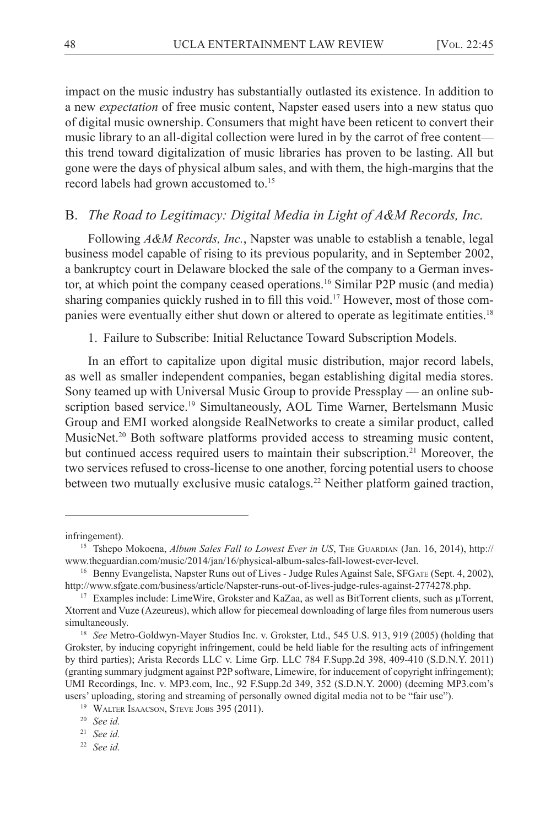<span id="page-4-0"></span>impact on the music industry has substantially outlasted its existence. In addition to a new *expectation* of free music content, Napster eased users into a new status quo of digital music ownership. Consumers that might have been reticent to convert their music library to an all-digital collection were lured in by the carrot of free content this trend toward digitalization of music libraries has proven to be lasting. All but gone were the days of physical album sales, and with them, the high-margins that the record labels had grown accustomed to.<sup>15</sup>

#### B. *The Road to Legitimacy: Digital Media in Light of A&M Records, Inc.*

Following *A&M Records, Inc.*, Napster was unable to establish a tenable, legal business model capable of rising to its previous popularity, and in September 2002, a bankruptcy court in Delaware blocked the sale of the company to a German investor, at which point the company ceased operations.16 Similar P2P music (and media) sharing companies quickly rushed in to fill this void.17 However, most of those companies were eventually either shut down or altered to operate as legitimate entities.<sup>18</sup>

1. Failure to Subscribe: Initial Reluctance Toward Subscription Models.

In an effort to capitalize upon digital music distribution, major record labels, as well as smaller independent companies, began establishing digital media stores. Sony teamed up with Universal Music Group to provide Pressplay — an online subscription based service.<sup>19</sup> Simultaneously, AOL Time Warner, Bertelsmann Music Group and EMI worked alongside RealNetworks to create a similar product, called MusicNet.20 Both software platforms provided access to streaming music content, but continued access required users to maintain their subscription.<sup>21</sup> Moreover, the two services refused to cross-license to one another, forcing potential users to choose between two mutually exclusive music catalogs.<sup>22</sup> Neither platform gained traction,

infringement).

<sup>15</sup> Tshepo Mokoena, *Album Sales Fall to Lowest Ever in US*, The Guardian (Jan. 16, 2014), [http://](http://www.theguardian.com/music/2014/jan/16/physical-album-sales-fall-lowest-ever-level.) [www.theguardian.com/music/2014/jan/16/physical-album-sales-fall-lowest-ever-level.](http://www.theguardian.com/music/2014/jan/16/physical-album-sales-fall-lowest-ever-level.)

<sup>&</sup>lt;sup>16</sup> Benny Evangelista, Napster Runs out of Lives - Judge Rules Against Sale, SFGATE (Sept. 4, 2002), <http://www.sfgate.com/business/article/Napster-runs-out-of-lives-judge-rules-against-2774278.php.>

<sup>&</sup>lt;sup>17</sup> Examples include: LimeWire, Grokster and KaZaa, as well as BitTorrent clients, such as  $\mu$ Torrent, Xtorrent and Vuze (Azeureus), which allow for piecemeal downloading of large files from numerous users simultaneously.

<sup>18</sup> *See* Metro-Goldwyn-Mayer Studios Inc. v. Grokster, Ltd., 545 U.S. 913, 919 (2005) (holding that Grokster, by inducing copyright infringement, could be held liable for the resulting acts of infringement by third parties); Arista Records LLC v. Lime Grp. LLC 784 F.Supp.2d 398, 409-410 (S.D.N.Y. 2011) (granting summary judgment against P2P software, Limewire, for inducement of copyright infringement); UMI Recordings, Inc. v. MP3.com, Inc., 92 F.Supp.2d 349, 352 (S.D.N.Y. 2000) (deeming MP3.com's users' uploading, storing and streaming of personally owned digital media not to be "fair use").

<sup>&</sup>lt;sup>19</sup> WALTER ISAACSON, STEVE JOBS 395 (2011).

<sup>20</sup> *See id.*

<sup>21</sup> *See id.*

<sup>22</sup> *See id.*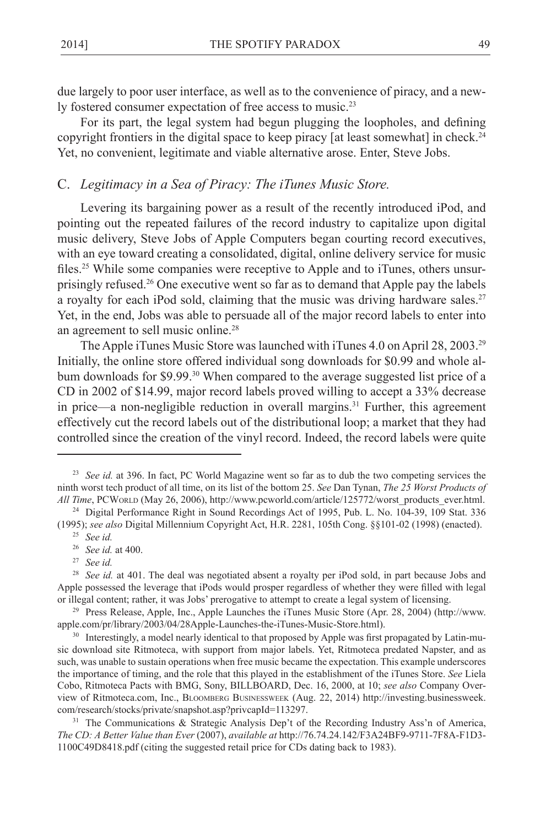<span id="page-5-0"></span>due largely to poor user interface, as well as to the convenience of piracy, and a newly fostered consumer expectation of free access to music.<sup>23</sup>

For its part, the legal system had begun plugging the loopholes, and defining copyright frontiers in the digital space to keep piracy [at least somewhat] in check.<sup>24</sup> Yet, no convenient, legitimate and viable alternative arose. Enter, Steve Jobs.

# C. *Legitimacy in a Sea of Piracy: The iTunes Music Store.*

Levering its bargaining power as a result of the recently introduced iPod, and pointing out the repeated failures of the record industry to capitalize upon digital music delivery, Steve Jobs of Apple Computers began courting record executives, with an eye toward creating a consolidated, digital, online delivery service for music files.25 While some companies were receptive to Apple and to iTunes, others unsurprisingly refused.26 One executive went so far as to demand that Apple pay the labels a royalty for each iPod sold, claiming that the music was driving hardware sales.<sup>27</sup> Yet, in the end, Jobs was able to persuade all of the major record labels to enter into an agreement to sell music online.<sup>28</sup>

The Apple iTunes Music Store was launched with iTunes 4.0 on April 28, 2003.29 Initially, the online store offered individual song downloads for \$0.99 and whole album downloads for \$9.99.<sup>30</sup> When compared to the average suggested list price of a CD in 2002 of \$14.99, major record labels proved willing to accept a 33% decrease in price—a non-negligible reduction in overall margins.<sup>31</sup> Further, this agreement effectively cut the record labels out of the distributional loop; a market that they had controlled since the creation of the vinyl record. Indeed, the record labels were quite

<sup>27</sup> *See id.*

<sup>&</sup>lt;sup>23</sup> *See id.* at 396. In fact, PC World Magazine went so far as to dub the two competing services the ninth worst tech product of all time, on its list of the bottom 25. *See* Dan Tynan, *The 25 Worst Products of* All Time, PCWorld (May 26, 2006), [http://www.pcworld.com/article/125772/worst\\_products\\_ever.html.](http://www.pcworld.com/article/125772/worst_products_ever.html.)

<sup>24</sup> Digital Performance Right in Sound Recordings Act of 1995, Pub. L. No. 104-39, 109 Stat. 336 (1995); *see also* Digital Millennium Copyright Act, H.R. 2281, 105th Cong. §§101-02 (1998) (enacted).

<sup>25</sup> *See id.*

<sup>26</sup> *See id.* at 400.

<sup>28</sup> *See id.* at 401. The deal was negotiated absent a royalty per iPod sold, in part because Jobs and Apple possessed the leverage that iPods would prosper regardless of whether they were filled with legal or illegal content; rather, it was Jobs' prerogative to attempt to create a legal system of licensing.

<sup>29</sup> Press Release, Apple, Inc., Apple Launches the iTunes Music Store (Apr. 28, 2004) [\(http://www.](http://www.apple.com/pr/library/2003/04/28Apple-Launches-the-iTunes-Music-Store.html) [apple.com/pr/library/2003/04/28Apple-Launches-the-iTunes-Music-Store.html\)](http://www.apple.com/pr/library/2003/04/28Apple-Launches-the-iTunes-Music-Store.html).

<sup>&</sup>lt;sup>30</sup> Interestingly, a model nearly identical to that proposed by Apple was first propagated by Latin-music download site Ritmoteca, with support from major labels. Yet, Ritmoteca predated Napster, and as such, was unable to sustain operations when free music became the expectation. This example underscores the importance of timing, and the role that this played in the establishment of the iTunes Store. *See* Liela Cobo, Ritmoteca Pacts with BMG, Sony, BILLBOARD, Dec. 16, 2000, at 10; *see also* Company Overview of Ritmoteca.com, Inc., Bloomberg Businessweek (Aug. 22, 2014) h[ttp://investing.businessweek.](ttp://investing.businessweek.com/research/stocks/private/snapshot.asp?privcapId=113297.) [com/research/stocks/private/snapshot.asp?privcapId=113297.](ttp://investing.businessweek.com/research/stocks/private/snapshot.asp?privcapId=113297.)

<sup>31</sup> The Communications & Strategic Analysis Dep't of the Recording Industry Ass'n of America, *The CD: A Better Value than Ever* (2007), *available at* http://76.74.24.142/F3A24BF9-9711-7F8A-F1D3- 1100C49D8418.pdf (citing the suggested retail price for CDs dating back to 1983).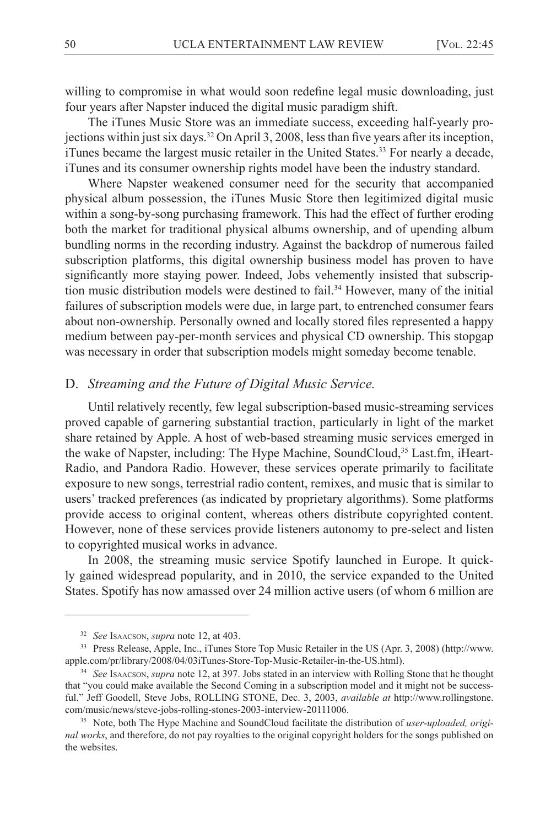<span id="page-6-0"></span>willing to compromise in what would soon redefine legal music downloading, just four years after Napster induced the digital music paradigm shift.

The iTunes Music Store was an immediate success, exceeding half-yearly projections within just six days.<sup>32</sup> On April 3, 2008, less than five years after its inception, iTunes became the largest music retailer in the United States.33 For nearly a decade, iTunes and its consumer ownership rights model have been the industry standard.

Where Napster weakened consumer need for the security that accompanied physical album possession, the iTunes Music Store then legitimized digital music within a song-by-song purchasing framework. This had the effect of further eroding both the market for traditional physical albums ownership, and of upending album bundling norms in the recording industry. Against the backdrop of numerous failed subscription platforms, this digital ownership business model has proven to have significantly more staying power. Indeed, Jobs vehemently insisted that subscription music distribution models were destined to fail.34 However, many of the initial failures of subscription models were due, in large part, to entrenched consumer fears about non-ownership. Personally owned and locally stored files represented a happy medium between pay-per-month services and physical CD ownership. This stopgap was necessary in order that subscription models might someday become tenable.

## D. *Streaming and the Future of Digital Music Service.*

Until relatively recently, few legal subscription-based music-streaming services proved capable of garnering substantial traction, particularly in light of the market share retained by Apple. A host of web-based streaming music services emerged in the wake of Napster, including: The Hype Machine, SoundCloud,35 Last.fm, iHeart-Radio, and Pandora Radio. However, these services operate primarily to facilitate exposure to new songs, terrestrial radio content, remixes, and music that is similar to users' tracked preferences (as indicated by proprietary algorithms). Some platforms provide access to original content, whereas others distribute copyrighted content. However, none of these services provide listeners autonomy to pre-select and listen to copyrighted musical works in advance.

In 2008, the streaming music service Spotify launched in Europe. It quickly gained widespread popularity, and in 2010, the service expanded to the United States. Spotify has now amassed over 24 million active users (of whom 6 million are

<sup>32</sup> *See* Isaacson, *supra* note 12, at 403.

<sup>33</sup> Press Release, Apple, Inc., iTunes Store Top Music Retailer in the US (Apr. 3, 2008) [\(http://www.](http://www.apple.com/pr/library/2008/04/03iTunes-Store-Top-Music-Retailer-in-the-US.html) [apple.com/pr/library/2008/04/03iTunes-Store-Top-Music-Retailer-in-the-US.html\)](http://www.apple.com/pr/library/2008/04/03iTunes-Store-Top-Music-Retailer-in-the-US.html).

<sup>34</sup> *See* Isaacson, *supra* note 12, at 397. Jobs stated in an interview with Rolling Stone that he thought that "you could make available the Second Coming in a subscription model and it might not be successful." Jeff Goodell, Steve Jobs, ROLLING STONE, Dec. 3, 2003, *available at* [http://www.rollingstone.](http://www.rollingstone.com/music/news/steve-jobs-rolling-stones-2003-interview-20111006.) [com/music/news/steve-jobs-rolling-stones-2003-interview-20111006.](http://www.rollingstone.com/music/news/steve-jobs-rolling-stones-2003-interview-20111006.)

<sup>35</sup> Note, both The Hype Machine and SoundCloud facilitate the distribution of *user-uploaded, original works*, and therefore, do not pay royalties to the original copyright holders for the songs published on the websites.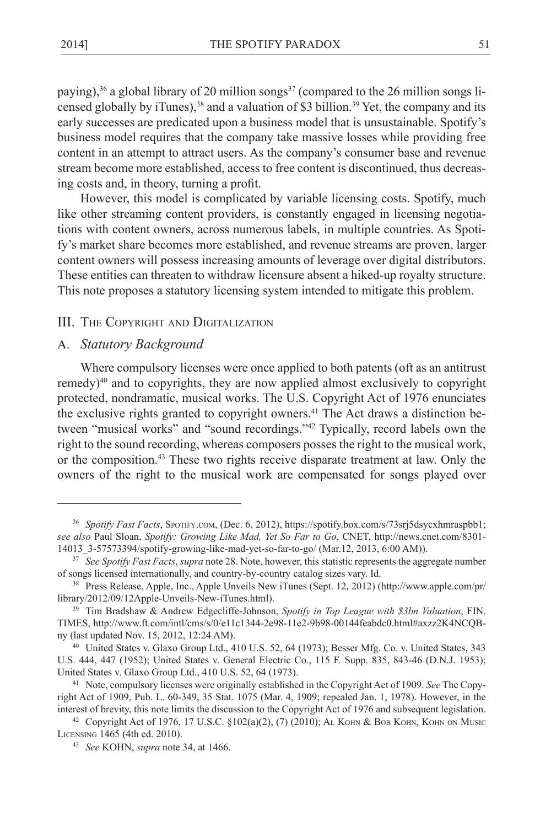<span id="page-7-0"></span>paying),<sup>36</sup> a global library of 20 million songs<sup>37</sup> (compared to the 26 million songs licensed globally by iTunes), $38$  and a valuation of \$3 billion.<sup>39</sup> Yet, the company and its early successes are predicated upon a business model that is unsustainable. Spotify's business model requires that the company take massive losses while providing free content in an attempt to attract users. As the company's consumer base and revenue stream become more established, access to free content is discontinued, thus decreasing costs and, in theory, turning a profit.

However, this model is complicated by variable licensing costs. Spotify, much like other streaming content providers, is constantly engaged in licensing negotiations with content owners, across numerous labels, in multiple countries. As Spotify's market share becomes more established, and revenue streams are proven, larger content owners will possess increasing amounts of leverage over digital distributors. These entities can threaten to withdraw licensure absent a hiked-up royalty structure. This note proposes a statutory licensing system intended to mitigate this problem.

### III. The Copyright and Digitalization

# A. *Statutory Background*

Where compulsory licenses were once applied to both patents (oft as an antitrust remedy) $40$  and to copyrights, they are now applied almost exclusively to copyright protected, nondramatic, musical works. The U.S. Copyright Act of 1976 enunciates the exclusive rights granted to copyright owners.<sup>41</sup> The Act draws a distinction between "musical works" and "sound recordings."42 Typically, record labels own the right to the sound recording, whereas composers posses the right to the musical work, or the composition.43 These two rights receive disparate treatment at law. Only the owners of the right to the musical work are compensated for songs played over

<sup>36</sup> *Spotify Fast Facts*, Spotify.com, (Dec. 6, 2012), [https://spotify.box.com/s/73srj5dsycxhmraspbb1;](https://spotify.box.com/s/73srj5dsycxhmraspbb1) *see also* Paul Sloan, *Spotify: Growing Like Mad, Yet So Far to Go*, CNET, [http://news.cnet.com/8301-](http://news.cnet.com/8301-14013_3-57573394/spotify-growing-like-mad-yet-so-far-to-go/ ) [14013\\_3-57573394/spotify-growing-like-mad-yet-so-far-to-go/ \(](http://news.cnet.com/8301-14013_3-57573394/spotify-growing-like-mad-yet-so-far-to-go/ )Mar.12, 2013, 6:00 AM)).

<sup>37</sup> *See Spotify Fast Facts*, *supra* note 28. Note, however, this statistic represents the aggregate number of songs licensed internationally, and country-by-country catalog sizes vary. Id.

<sup>38</sup> Press Release, Apple, Inc., Apple Unveils New iTunes (Sept. 12, 2012) [\(http://www.apple.com/pr/]((http://www.apple.com/pr/library/2012/09/12Apple-Unveils-New-iTunes.html) [library/2012/09/12Apple-Unveils-New-iTunes.html\)]((http://www.apple.com/pr/library/2012/09/12Apple-Unveils-New-iTunes.html).

<sup>39</sup> Tim Bradshaw & Andrew Edgecliffe-Johnson, *Spotify in Top League with \$3bn Valuation*, FIN. TIMES, [http://www.ft.com/intl/cms/s/0/e11c1344-2e98-11e2-9b98-00144feabdc0.html#axzz2K4NCQB](http://www.ft.com/intl/cms/s/0/e11c1344-2e98-11e2-9b98-00144feabdc0.html#axzz2K4NCQBny)[ny](http://www.ft.com/intl/cms/s/0/e11c1344-2e98-11e2-9b98-00144feabdc0.html#axzz2K4NCQBny) (last updated Nov. 15, 2012, 12:24 AM).

<sup>40</sup> United States v. Glaxo Group Ltd., 410 U.S. 52, 64 (1973); Besser Mfg. Co. v. United States, 343 U.S. 444, 447 (1952); United States v. General Electric Co., 115 F. Supp. 835, 843-46 (D.N.J. 1953); United States v. Glaxo Group Ltd., 410 U.S. 52, 64 (1973).

<sup>41</sup> Note, compulsory licenses were originally established in the Copyright Act of 1909. *See* The Copyright Act of 1909, Pub. L. 60-349, 35 Stat. 1075 (Mar. 4, 1909; repealed Jan. 1, 1978). However, in the interest of brevity, this note limits the discussion to the Copyright Act of 1976 and subsequent legislation.

<sup>&</sup>lt;sup>42</sup> Copyright Act of 1976, 17 U.S.C. §102(a)(2), (7) (2010); AL KOHN & BOB KOHN, KOHN ON MUSIC Licensing 1465 (4th ed. 2010).

<sup>43</sup> *See* KOHN, *supra* note 34, at 1466.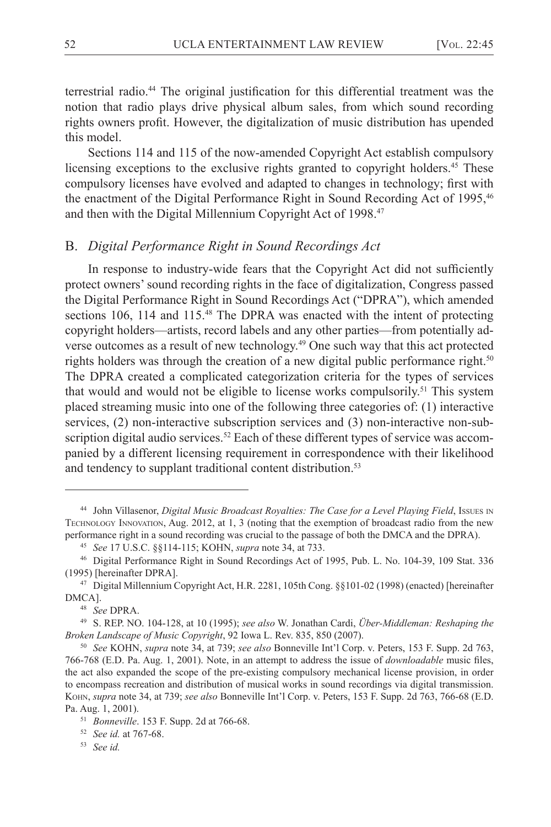terrestrial radio.44 The original justification for this differential treatment was the notion that radio plays drive physical album sales, from which sound recording rights owners profit. However, the digitalization of music distribution has upended this model.

Sections 114 and 115 of the now-amended Copyright Act establish compulsory licensing exceptions to the exclusive rights granted to copyright holders.<sup>45</sup> These compulsory licenses have evolved and adapted to changes in technology; first with the enactment of the Digital Performance Right in Sound Recording Act of 1995,46 and then with the Digital Millennium Copyright Act of 1998.<sup>47</sup>

## B. *Digital Performance Right in Sound Recordings Act*

In response to industry-wide fears that the Copyright Act did not sufficiently protect owners' sound recording rights in the face of digitalization, Congress passed the Digital Performance Right in Sound Recordings Act ("DPRA"), which amended sections 106, 114 and 115.<sup>48</sup> The DPRA was enacted with the intent of protecting copyright holders—artists, record labels and any other parties—from potentially adverse outcomes as a result of new technology.49 One such way that this act protected rights holders was through the creation of a new digital public performance right.<sup>50</sup> The DPRA created a complicated categorization criteria for the types of services that would and would not be eligible to license works compulsorily.<sup>51</sup> This system placed streaming music into one of the following three categories of: (1) interactive services, (2) non-interactive subscription services and (3) non-interactive non-subscription digital audio services.<sup>52</sup> Each of these different types of service was accompanied by a different licensing requirement in correspondence with their likelihood and tendency to supplant traditional content distribution.<sup>53</sup>

<sup>44</sup> John Villasenor, *Digital Music Broadcast Royalties: The Case for a Level Playing Field*, Issues in Technology Innovation, Aug. 2012, at 1, 3 (noting that the exemption of broadcast radio from the new performance right in a sound recording was crucial to the passage of both the DMCA and the DPRA).

<sup>45</sup> *See* 17 U.S.C. §§114-115; KOHN, *supra* note 34, at 733.

<sup>46</sup> Digital Performance Right in Sound Recordings Act of 1995, Pub. L. No. 104-39, 109 Stat. 336 (1995) [hereinafter DPRA].

<sup>47</sup> Digital Millennium Copyright Act, H.R. 2281, 105th Cong. §§101-02 (1998) (enacted) [hereinafter DMCA].

<sup>48</sup> *See* DPRA.

<sup>49</sup> S. REP. NO. 104-128, at 10 (1995); *see also* W. Jonathan Cardi, *Über-Middleman: Reshaping the Broken Landscape of Music Copyright*, 92 Iowa L. Rev. 835, 850 (2007).

<sup>50</sup> *See* KOHN, *supra* note 34, at 739; *see also* Bonneville Int'l Corp. v. Peters, 153 F. Supp. 2d 763, 766-768 (E.D. Pa. Aug. 1, 2001). Note, in an attempt to address the issue of *downloadable* music files, the act also expanded the scope of the pre-existing compulsory mechanical license provision, in order to encompass recreation and distribution of musical works in sound recordings via digital transmission. Kohn, *supra* note 34, at 739; *see also* Bonneville Int'l Corp. v. Peters, 153 F. Supp. 2d 763, 766-68 (E.D. Pa. Aug. 1, 2001).

<sup>51</sup> *Bonneville*. 153 F. Supp. 2d at 766-68.

<sup>52</sup> *See id.* at 767-68.

<sup>53</sup> *See id.*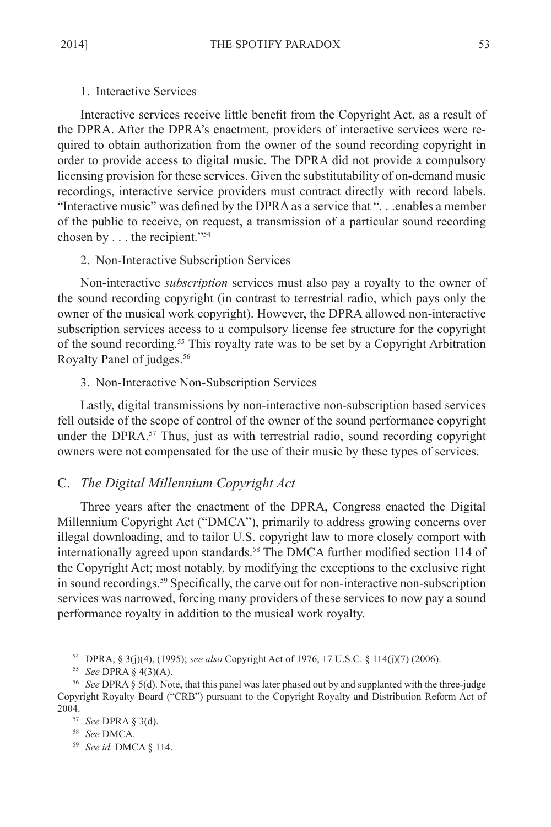# <span id="page-9-0"></span>1. Interactive Services

Interactive services receive little benefit from the Copyright Act, as a result of the DPRA. After the DPRA's enactment, providers of interactive services were required to obtain authorization from the owner of the sound recording copyright in order to provide access to digital music. The DPRA did not provide a compulsory licensing provision for these services. Given the substitutability of on-demand music recordings, interactive service providers must contract directly with record labels. "Interactive music" was defined by the DPRA as a service that ". . .enables a member of the public to receive, on request, a transmission of a particular sound recording chosen by . . . the recipient."54

# 2. Non-Interactive Subscription Services

Non-interactive *subscription* services must also pay a royalty to the owner of the sound recording copyright (in contrast to terrestrial radio, which pays only the owner of the musical work copyright). However, the DPRA allowed non-interactive subscription services access to a compulsory license fee structure for the copyright of the sound recording.55 This royalty rate was to be set by a Copyright Arbitration Royalty Panel of judges.56

# 3. Non-Interactive Non-Subscription Services

Lastly, digital transmissions by non-interactive non-subscription based services fell outside of the scope of control of the owner of the sound performance copyright under the DPRA.<sup>57</sup> Thus, just as with terrestrial radio, sound recording copyright owners were not compensated for the use of their music by these types of services.

# C. *The Digital Millennium Copyright Act*

Three years after the enactment of the DPRA, Congress enacted the Digital Millennium Copyright Act ("DMCA"), primarily to address growing concerns over illegal downloading, and to tailor U.S. copyright law to more closely comport with internationally agreed upon standards.<sup>58</sup> The DMCA further modified section 114 of the Copyright Act; most notably, by modifying the exceptions to the exclusive right in sound recordings.59 Specifically, the carve out for non-interactive non-subscription services was narrowed, forcing many providers of these services to now pay a sound performance royalty in addition to the musical work royalty.

<sup>54</sup> DPRA, § 3(j)(4), (1995); *see also* Copyright Act of 1976, 17 U.S.C. § 114(j)(7) (2006).

<sup>55</sup> *See* DPRA § 4(3)(A).

<sup>56</sup> *See* DPRA § 5(d). Note, that this panel was later phased out by and supplanted with the three-judge Copyright Royalty Board ("CRB") pursuant to the Copyright Royalty and Distribution Reform Act of 2004.

<sup>57</sup> *See* DPRA § 3(d).

<sup>58</sup> *See* DMCA.

<sup>59</sup> *See id.* DMCA § 114.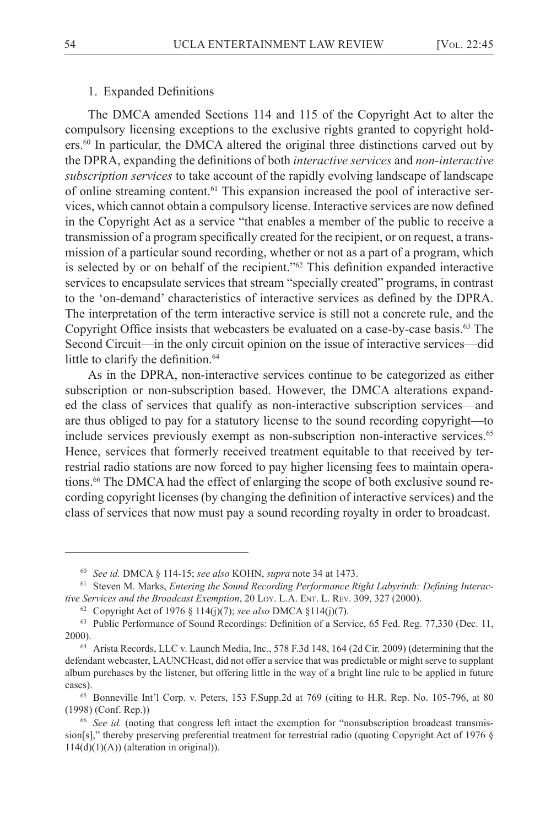#### <span id="page-10-0"></span>1. Expanded Definitions

The DMCA amended Sections 114 and 115 of the Copyright Act to alter the compulsory licensing exceptions to the exclusive rights granted to copyright holders.60 In particular, the DMCA altered the original three distinctions carved out by the DPRA, expanding the definitions of both *interactive services* and *non-interactive subscription services* to take account of the rapidly evolving landscape of landscape of online streaming content.<sup>61</sup> This expansion increased the pool of interactive services, which cannot obtain a compulsory license. Interactive services are now defined in the Copyright Act as a service "that enables a member of the public to receive a transmission of a program specifically created for the recipient, or on request, a transmission of a particular sound recording, whether or not as a part of a program, which is selected by or on behalf of the recipient."62 This definition expanded interactive services to encapsulate services that stream "specially created" programs, in contrast to the 'on-demand' characteristics of interactive services as defined by the DPRA. The interpretation of the term interactive service is still not a concrete rule, and the Copyright Office insists that webcasters be evaluated on a case-by-case basis.<sup>63</sup> The Second Circuit—in the only circuit opinion on the issue of interactive services—did little to clarify the definition.<sup>64</sup>

As in the DPRA, non-interactive services continue to be categorized as either subscription or non-subscription based. However, the DMCA alterations expanded the class of services that qualify as non-interactive subscription services—and are thus obliged to pay for a statutory license to the sound recording copyright—to include services previously exempt as non-subscription non-interactive services.<sup>65</sup> Hence, services that formerly received treatment equitable to that received by terrestrial radio stations are now forced to pay higher licensing fees to maintain operations.<sup>66</sup> The DMCA had the effect of enlarging the scope of both exclusive sound recording copyright licenses (by changing the definition of interactive services) and the class of services that now must pay a sound recording royalty in order to broadcast.

<sup>60</sup> *See id.* DMCA § 114-15; *see also* KOHN, *supra* note 34 at 1473.

<sup>61</sup> Steven M. Marks, *Entering the Sound Recording Performance Right Labyrinth: Defining Interactive Services and the Broadcast Exemption*, 20 Loy. L.A. Ent. L. Rev. 309, 327 (2000).

<sup>62</sup> Copyright Act of 1976 § 114(j)(7); *see also* DMCA §114(j)(7).

<sup>&</sup>lt;sup>63</sup> Public Performance of Sound Recordings: Definition of a Service, 65 Fed. Reg. 77,330 (Dec. 11, 2000).

<sup>64</sup> Arista Records, LLC v. Launch Media, Inc., 578 F.3d 148, 164 (2d Cir. 2009) (determining that the defendant webcaster, LAUNCHcast, did not offer a service that was predictable or might serve to supplant album purchases by the listener, but offering little in the way of a bright line rule to be applied in future cases).

<sup>65</sup> Bonneville Int'l Corp. v. Peters, 153 F.Supp.2d at 769 (citing to H.R. Rep. No. 105-796, at 80 (1998) (Conf. Rep.))

<sup>66</sup> *See id.* (noting that congress left intact the exemption for "nonsubscription broadcast transmission[s]," thereby preserving preferential treatment for terrestrial radio (quoting Copyright Act of 1976 §  $114(d)(1)(A)$  (alteration in original)).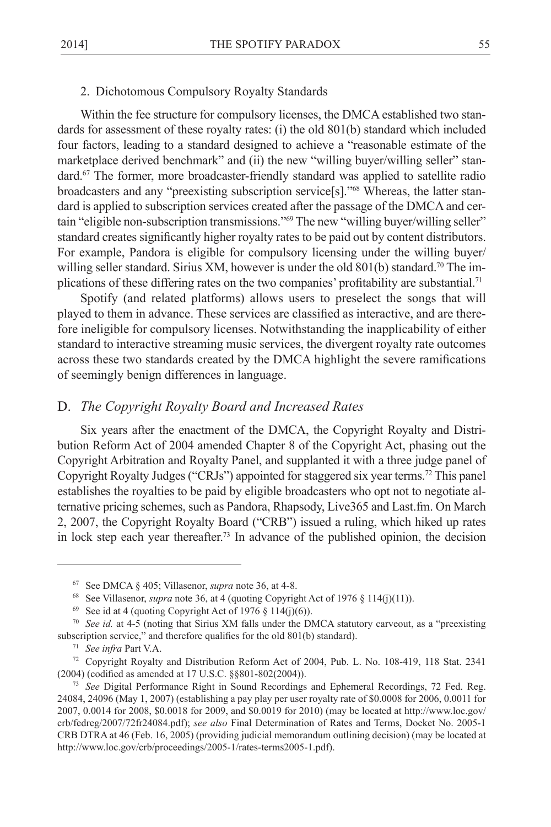# 2. Dichotomous Compulsory Royalty Standards

Within the fee structure for compulsory licenses, the DMCA established two standards for assessment of these royalty rates: (i) the old 801(b) standard which included four factors, leading to a standard designed to achieve a "reasonable estimate of the marketplace derived benchmark" and (ii) the new "willing buyer/willing seller" standard.67 The former, more broadcaster-friendly standard was applied to satellite radio broadcasters and any "preexisting subscription service[s]."68 Whereas, the latter standard is applied to subscription services created after the passage of the DMCA and certain "eligible non-subscription transmissions."69 The new "willing buyer/willing seller" standard creates significantly higher royalty rates to be paid out by content distributors. For example, Pandora is eligible for compulsory licensing under the willing buyer/ willing seller standard. Sirius XM, however is under the old  $801(b)$  standard.<sup>70</sup> The implications of these differing rates on the two companies' profitability are substantial.<sup>71</sup>

Spotify (and related platforms) allows users to preselect the songs that will played to them in advance. These services are classified as interactive, and are therefore ineligible for compulsory licenses. Notwithstanding the inapplicability of either standard to interactive streaming music services, the divergent royalty rate outcomes across these two standards created by the DMCA highlight the severe ramifications of seemingly benign differences in language.

# D. *The Copyright Royalty Board and Increased Rates*

Six years after the enactment of the DMCA, the Copyright Royalty and Distribution Reform Act of 2004 amended Chapter 8 of the Copyright Act, phasing out the Copyright Arbitration and Royalty Panel, and supplanted it with a three judge panel of Copyright Royalty Judges ("CRJs") appointed for staggered six year terms.72 This panel establishes the royalties to be paid by eligible broadcasters who opt not to negotiate alternative pricing schemes, such as Pandora, Rhapsody, Live365 and Last.fm. On March 2, 2007, the Copyright Royalty Board ("CRB") issued a ruling, which hiked up rates in lock step each year thereafter.73 In advance of the published opinion, the decision

<sup>67</sup> See DMCA § 405; Villasenor, *supra* note 36, at 4-8.

<sup>68</sup> See Villasenor, *supra* note 36, at 4 (quoting Copyright Act of 1976 § 114(j)(11)).

<sup>&</sup>lt;sup>69</sup> See id at 4 (quoting Copyright Act of 1976  $§$  114(j)(6)).

<sup>70</sup> *See id.* at 4-5 (noting that Sirius XM falls under the DMCA statutory carveout, as a "preexisting subscription service," and therefore qualifies for the old 801(b) standard).

<sup>71</sup> *See infra* Part V.A.

<sup>72</sup> Copyright Royalty and Distribution Reform Act of 2004, Pub. L. No. 108-419, 118 Stat. 2341 (2004) (codified as amended at 17 U.S.C. §§801-802(2004)).

<sup>73</sup> *See* Digital Performance Right in Sound Recordings and Ephemeral Recordings, 72 Fed. Reg. 24084, 24096 (May 1, 2007) (establishing a pay play per user royalty rate of \$0.0008 for 2006, 0.0011 for 2007, 0.0014 for 2008, \$0.0018 for 2009, and \$0.0019 for 2010) (may be located at [http://www.loc.gov/](http://www.loc.gov/crb/fedreg/2007/72fr24084.pdf) [crb/fedreg/2007/72fr24084.pdf](http://www.loc.gov/crb/fedreg/2007/72fr24084.pdf)); *see also* Final Determination of Rates and Terms, Docket No. 2005-1 CRB DTRA at 46 (Feb. 16, 2005) (providing judicial memorandum outlining decision) (may be located at [http://www.loc.gov/crb/proceedings/2005-1/rates-terms2005-1.pdf\)](http://www.loc.gov/crb/proceedings/2005-1/rates-terms2005-1.pdf).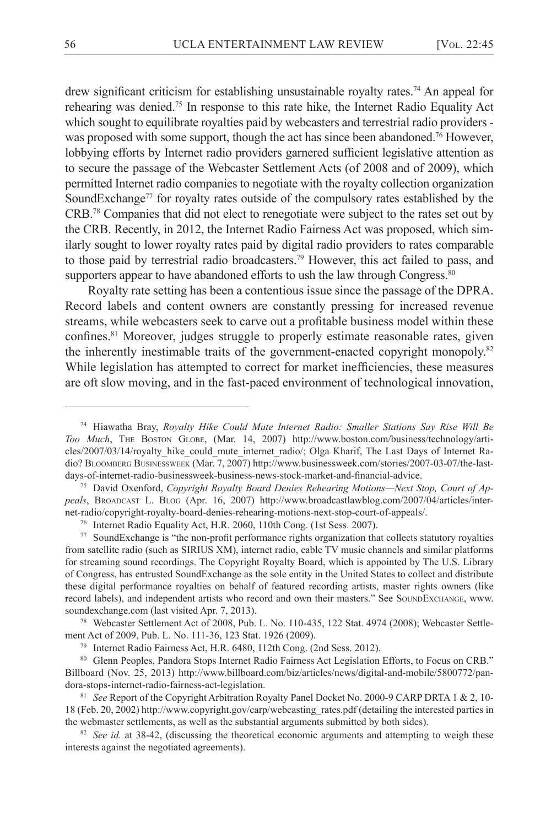<span id="page-12-0"></span>drew significant criticism for establishing unsustainable royalty rates.<sup>74</sup> An appeal for rehearing was denied.75 In response to this rate hike, the Internet Radio Equality Act which sought to equilibrate royalties paid by webcasters and terrestrial radio providers was proposed with some support, though the act has since been abandoned.<sup>76</sup> However, lobbying efforts by Internet radio providers garnered sufficient legislative attention as to secure the passage of the Webcaster Settlement Acts (of 2008 and of 2009), which permitted Internet radio companies to negotiate with the royalty collection organization SoundExchange77 for royalty rates outside of the compulsory rates established by the CRB.78 Companies that did not elect to renegotiate were subject to the rates set out by the CRB. Recently, in 2012, the Internet Radio Fairness Act was proposed, which similarly sought to lower royalty rates paid by digital radio providers to rates comparable to those paid by terrestrial radio broadcasters.<sup>79</sup> However, this act failed to pass, and supporters appear to have abandoned efforts to ush the law through Congress.<sup>80</sup>

Royalty rate setting has been a contentious issue since the passage of the DPRA. Record labels and content owners are constantly pressing for increased revenue streams, while webcasters seek to carve out a profitable business model within these confines.81 Moreover, judges struggle to properly estimate reasonable rates, given the inherently inestimable traits of the government-enacted copyright monopoly.<sup>82</sup> While legislation has attempted to correct for market inefficiencies, these measures are oft slow moving, and in the fast-paced environment of technological innovation,

<sup>74</sup> Hiawatha Bray, *Royalty Hike Could Mute Internet Radio: Smaller Stations Say Rise Will Be Too Much*, The Boston Globe, (Mar. 14, 2007) [http://www.boston.com/business/technology/arti](http://www.boston.com/business/technology/articles/2007/03/14/royalty_hike_could_mute_internet_radio)[cles/2007/03/14/royalty\\_hike\\_could\\_mute\\_internet\\_radio/;](http://www.boston.com/business/technology/articles/2007/03/14/royalty_hike_could_mute_internet_radio) Olga Kharif, The Last Days of Internet Radio? Bloomberg Businessweek (Mar. 7, 2007) http://www.businessweek.com/stories/2007-03-07/the-lastdays-of-internet-radio-businessweek-business-news-stock-market-and-financial-advice.

<sup>75</sup> David Oxenford, *Copyright Royalty Board Denies Rehearing Motions—Next Stop, Court of Appeals*, Broadcast L. Blog (Apr. 16, 2007) [http://www.broadcastlawblog.com/2007/04/articles/inter](http://www.broadcastlawblog.com/2007/04/articles/internet-radio/copyright-royalty-board-denies-rehea)[net-radio/copyright-royalty-board-denies-rehearing-motions-next-stop-court-of-appeals/](http://www.broadcastlawblog.com/2007/04/articles/internet-radio/copyright-royalty-board-denies-rehea).

<sup>76</sup> Internet Radio Equality Act, H.R. 2060, 110th Cong. (1st Sess. 2007).

<sup>77</sup> SoundExchange is "the non-profit performance rights organization that collects statutory royalties from satellite radio (such as SIRIUS XM), internet radio, cable TV music channels and similar platforms for streaming sound recordings. The Copyright Royalty Board, which is appointed by The U.S. Library of Congress, has entrusted SoundExchange as the sole entity in the United States to collect and distribute these digital performance royalties on behalf of featured recording artists, master rights owners (like record labels), and independent artists who record and own their masters." See SOUNDEXCHANGE, [www.](http://www.soundexchange.com) [soundexchange.com](http://www.soundexchange.com) (last visited Apr. 7, 2013).

<sup>78</sup> Webcaster Settlement Act of 2008, Pub. L. No. 110-435, 122 Stat. 4974 (2008); Webcaster Settlement Act of 2009, Pub. L. No. 111-36, 123 Stat. 1926 (2009).

<sup>79</sup> Internet Radio Fairness Act, H.R. 6480, 112th Cong. (2nd Sess. 2012).

<sup>80</sup> Glenn Peoples, Pandora Stops Internet Radio Fairness Act Legislation Efforts, to Focus on CRB." Billboard (Nov. 25, 2013) [http://www.billboard.com/biz/articles/news/digital-and-mobile/5800772/pan](http://www.billboard.com/biz/articles/news/digital-and-mobile/5800772/pandora-stops-internet-radio-f)[dora-stops-internet-radio-fairness-act-legislation.](http://www.billboard.com/biz/articles/news/digital-and-mobile/5800772/pandora-stops-internet-radio-f)

<sup>&</sup>lt;sup>81</sup> *See* Report of the Copyright Arbitration Royalty Panel Docket No. 2000-9 CARP DRTA 1 & 2, 10-18 (Feb. 20, 2002) [http://www.copyright.gov/carp/webcasting\\_rates.pdf](http://www.copyright.gov/carp/webcasting_rates.pdf) (detailing the interested parties in the webmaster settlements, as well as the substantial arguments submitted by both sides).

<sup>&</sup>lt;sup>82</sup> *See id.* at 38-42, (discussing the theoretical economic arguments and attempting to weigh these interests against the negotiated agreements).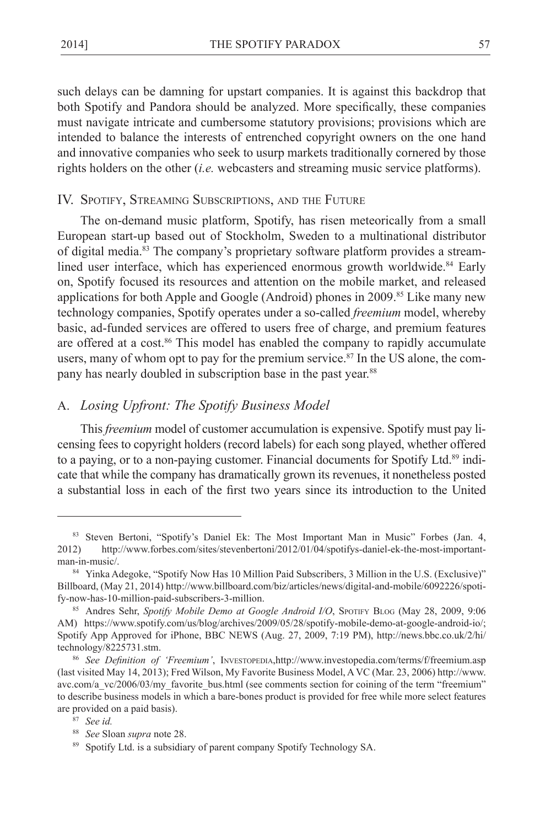<span id="page-13-0"></span>such delays can be damning for upstart companies. It is against this backdrop that both Spotify and Pandora should be analyzed. More specifically, these companies must navigate intricate and cumbersome statutory provisions; provisions which are intended to balance the interests of entrenched copyright owners on the one hand and innovative companies who seek to usurp markets traditionally cornered by those rights holders on the other (*i.e.* webcasters and streaming music service platforms).

# IV. Spotify, Streaming Subscriptions, and the Future

The on-demand music platform, Spotify, has risen meteorically from a small European start-up based out of Stockholm, Sweden to a multinational distributor of digital media.83 The company's proprietary software platform provides a streamlined user interface, which has experienced enormous growth worldwide.<sup>84</sup> Early on, Spotify focused its resources and attention on the mobile market, and released applications for both Apple and Google (Android) phones in 2009.85 Like many new technology companies, Spotify operates under a so-called *freemium* model, whereby basic, ad-funded services are offered to users free of charge, and premium features are offered at a cost.<sup>86</sup> This model has enabled the company to rapidly accumulate users, many of whom opt to pay for the premium service.<sup>87</sup> In the US alone, the company has nearly doubled in subscription base in the past year.<sup>88</sup>

## A. *Losing Upfront: The Spotify Business Model*

This *freemium* model of customer accumulation is expensive. Spotify must pay licensing fees to copyright holders (record labels) for each song played, whether offered to a paying, or to a non-paying customer. Financial documents for Spotify Ltd.<sup>89</sup> indicate that while the company has dramatically grown its revenues, it nonetheless posted a substantial loss in each of the first two years since its introduction to the United

<sup>83</sup> Steven Bertoni, "Spotify's Daniel Ek: The Most Important Man in Music" Forbes (Jan. 4, 2012) [http://www.forbes.com/sites/stevenbertoni/2012/01/04/spotifys-daniel-ek-the-most-important](http://www.forbes.com/sites/stevenbertoni/2012/01/04/spotifys-daniel-ek-the-most-important-man-in-mu)[man-in-music/.](http://www.forbes.com/sites/stevenbertoni/2012/01/04/spotifys-daniel-ek-the-most-important-man-in-mu)

<sup>84</sup> Yinka Adegoke, "Spotify Now Has 10 Million Paid Subscribers, 3 Million in the U.S. (Exclusive)" Billboard, (May 21, 2014) [http://www.billboard.com/biz/articles/news/digital-and-mobile/6092226/spoti](http://www.billboard.com/biz/articles/news/digital-and-mobile/6092226/spotify-now-has-10-million-pai)[fy-now-has-10-million-paid-subscribers-3-million.](http://www.billboard.com/biz/articles/news/digital-and-mobile/6092226/spotify-now-has-10-million-pai)

<sup>85</sup> Andres Sehr, *Spotify Mobile Demo at Google Android I/O*, Spotify Blog (May 28, 2009, 9:06 AM) [https://www.spotify.com/us/blog/archives/2009/05/28/spotify-mobile-demo-at-google-android-io/;](https://www.spotify.com/us/blog/archives/2009/05/28/spotify-mobile-demo-at-google-android-io/) Spotify App Approved for iPhone, BBC NEWS (Aug. 27, 2009, 7:19 PM), [http://news.bbc.co.uk/2/hi/](http://news.bbc.co.uk/2/hi/technology/8225731.stm.) [technology/8225731.stm.](http://news.bbc.co.uk/2/hi/technology/8225731.stm.)

<sup>86</sup> *See Definition of 'Freemium'*, Investopedia,[http://www.investopedia.com/terms/f/freemium.asp](http://www.investopedia.com/terms/f/freemium.asp ) (last visited May 14, 2013); Fred Wilson, My Favorite Business Model, A VC (Mar. 23, 2006) [http://www.](http://www.avc.com/a_vc/2006/03/my_favorite_bus.html ) [avc.com/a\\_vc/2006/03/my\\_favorite\\_bus.html \(](http://www.avc.com/a_vc/2006/03/my_favorite_bus.html )see comments section for coining of the term "freemium" to describe business models in which a bare-bones product is provided for free while more select features are provided on a paid basis).

<sup>87</sup> *See id.*

<sup>88</sup> *See* Sloan *supra* note 28.

<sup>89</sup> Spotify Ltd. is a subsidiary of parent company Spotify Technology SA.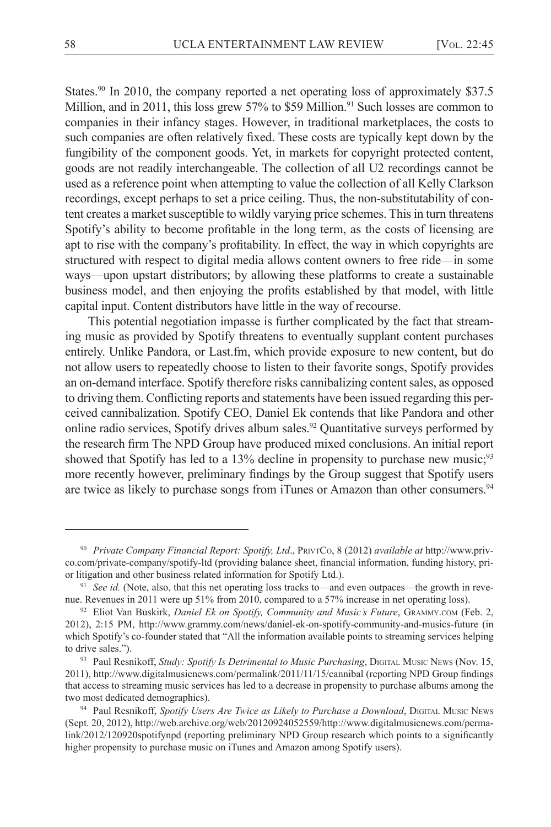<span id="page-14-0"></span>States.<sup>90</sup> In 2010, the company reported a net operating loss of approximately \$37.5 Million, and in 2011, this loss grew 57% to \$59 Million.<sup>91</sup> Such losses are common to companies in their infancy stages. However, in traditional marketplaces, the costs to such companies are often relatively fixed. These costs are typically kept down by the fungibility of the component goods. Yet, in markets for copyright protected content, goods are not readily interchangeable. The collection of all U2 recordings cannot be used as a reference point when attempting to value the collection of all Kelly Clarkson recordings, except perhaps to set a price ceiling. Thus, the non-substitutability of content creates a market susceptible to wildly varying price schemes. This in turn threatens Spotify's ability to become profitable in the long term, as the costs of licensing are apt to rise with the company's profitability. In effect, the way in which copyrights are structured with respect to digital media allows content owners to free ride—in some ways—upon upstart distributors; by allowing these platforms to create a sustainable business model, and then enjoying the profits established by that model, with little capital input. Content distributors have little in the way of recourse.

This potential negotiation impasse is further complicated by the fact that streaming music as provided by Spotify threatens to eventually supplant content purchases entirely. Unlike Pandora, or Last.fm, which provide exposure to new content, but do not allow users to repeatedly choose to listen to their favorite songs, Spotify provides an on-demand interface. Spotify therefore risks cannibalizing content sales, as opposed to driving them. Conflicting reports and statements have been issued regarding this perceived cannibalization. Spotify CEO, Daniel Ek contends that like Pandora and other online radio services, Spotify drives album sales.<sup>92</sup> Quantitative surveys performed by the research firm The NPD Group have produced mixed conclusions. An initial report showed that Spotify has led to a 13% decline in propensity to purchase new music;<sup>93</sup> more recently however, preliminary findings by the Group suggest that Spotify users are twice as likely to purchase songs from iTunes or Amazon than other consumers.94

<sup>90</sup> *Private Company Financial Report: Spotify, Ltd*., PrivtCo, 8 (2012) *available at* [http://www.priv](http://www.privco.com/private-company/spotify-ltd)[co.com/private-company/spotify-ltd](http://www.privco.com/private-company/spotify-ltd) (providing balance sheet, financial information, funding history, prior litigation and other business related information for Spotify Ltd.).

<sup>&</sup>lt;sup>91</sup> *See id.* (Note, also, that this net operating loss tracks to—and even outpaces—the growth in revenue. Revenues in 2011 were up 51% from 2010, compared to a 57% increase in net operating loss).

<sup>92</sup> Eliot Van Buskirk, *Daniel Ek on Spotify, Community and Music's Future*, Grammy.com (Feb. 2, 2012), 2:15 PM, [http://www.grammy.com/news/daniel-ek-on-spotify-community-and-musics-future](http://www.grammy.com/news/daniel-ek-on-spotify-community-and-musics-future ) (in which Spotify's co-founder stated that "All the information available points to streaming services helping to drive sales.").

<sup>93</sup> Paul Resnikoff, *Study: Spotify Is Detrimental to Music Purchasing*, DIGITAL MUSIC NEWS (Nov. 15, 2011),<http://www.digitalmusicnews.com/permalink/2011/11/15/cannibal> (reporting NPD Group findings that access to streaming music services has led to a decrease in propensity to purchase albums among the two most dedicated demographics).

<sup>94</sup> Paul Resnikoff, *Spotify Users Are Twice as Likely to Purchase a Download*, Digital Music News (Sept. 20, 2012),<http://web.archive.org/web/20120924052559/>[http://www.digitalmusicnews.com/perma](http://www.digitalmusicnews.com/permalink/2012/120920spotifynpd)[link/2012/120920spotifynpd](http://www.digitalmusicnews.com/permalink/2012/120920spotifynpd) (reporting preliminary NPD Group research which points to a significantly higher propensity to purchase music on iTunes and Amazon among Spotify users).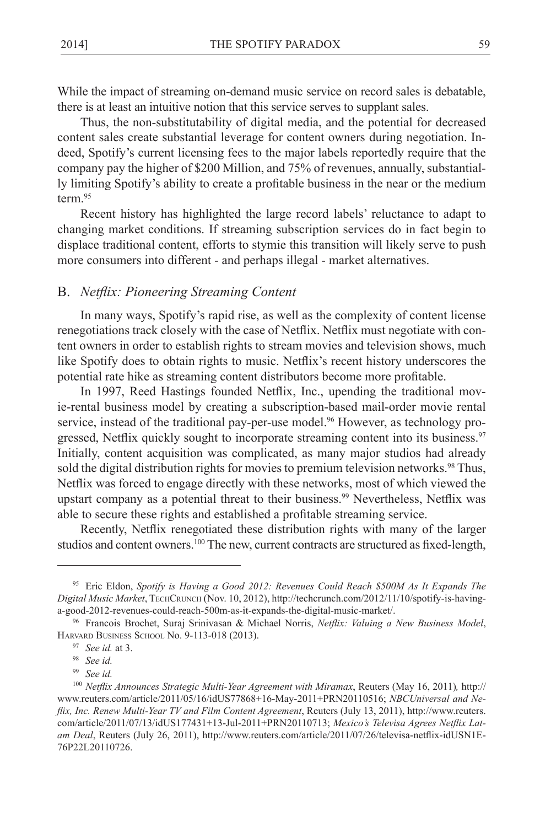While the impact of streaming on-demand music service on record sales is debatable, there is at least an intuitive notion that this service serves to supplant sales.

Thus, the non-substitutability of digital media, and the potential for decreased content sales create substantial leverage for content owners during negotiation. Indeed, Spotify's current licensing fees to the major labels reportedly require that the company pay the higher of \$200 Million, and 75% of revenues, annually, substantially limiting Spotify's ability to create a profitable business in the near or the medium term<sup>95</sup>

Recent history has highlighted the large record labels' reluctance to adapt to changing market conditions. If streaming subscription services do in fact begin to displace traditional content, efforts to stymie this transition will likely serve to push more consumers into different - and perhaps illegal - market alternatives.

#### B. *Netflix: Pioneering Streaming Content*

In many ways, Spotify's rapid rise, as well as the complexity of content license renegotiations track closely with the case of Netflix. Netflix must negotiate with content owners in order to establish rights to stream movies and television shows, much like Spotify does to obtain rights to music. Netflix's recent history underscores the potential rate hike as streaming content distributors become more profitable.

In 1997, Reed Hastings founded Netflix, Inc., upending the traditional movie-rental business model by creating a subscription-based mail-order movie rental service, instead of the traditional pay-per-use model.<sup>96</sup> However, as technology progressed, Netflix quickly sought to incorporate streaming content into its business.<sup>97</sup> Initially, content acquisition was complicated, as many major studios had already sold the digital distribution rights for movies to premium television networks.<sup>98</sup> Thus, Netflix was forced to engage directly with these networks, most of which viewed the upstart company as a potential threat to their business.<sup>99</sup> Nevertheless, Netflix was able to secure these rights and established a profitable streaming service.

Recently, Netflix renegotiated these distribution rights with many of the larger studios and content owners.<sup>100</sup> The new, current contracts are structured as fixed-length,

<sup>95</sup> Eric Eldon, *Spotify is Having a Good 2012: Revenues Could Reach \$500M As It Expands The Digital Music Market*, TechCrunch (Nov. 10, 2012)[, http://techcrunch.com/2012/11/10/spotify-is-having]( http://techcrunch.com/2012/11/10/spotify-is-having-a-good-2012-revenues-could-reach-500m-as-it-expa)[a-good-2012-revenues-could-reach-500m-as-it-expands-the-digital-music-market/.]( http://techcrunch.com/2012/11/10/spotify-is-having-a-good-2012-revenues-could-reach-500m-as-it-expa)

<sup>96</sup> Francois Brochet, Suraj Srinivasan & Michael Norris, *Netflix: Valuing a New Business Model*, Harvard Business School No. 9-113-018 (2013).

<sup>97</sup> *See id.* at 3.

<sup>98</sup> *See id.*

<sup>99</sup> *See id.*

<sup>100</sup> *Netflix Announces Strategic Multi-Year Agreement with Miramax*, Reuters (May 16, 2011)*,* [http://](http://www.reuters.com/article/2011/05/16/idUS77868+16-May-2011+PRN20110516) [www.reuters.com/article/2011/05/16/idUS77868+16-May-2011+PRN20110516;](http://www.reuters.com/article/2011/05/16/idUS77868+16-May-2011+PRN20110516) *NBCUniversal and Neflix, Inc. Renew Multi-Year TV and Film Content Agreement*, Reuters (July 13, 2011), [http://www.reuters.](http://www.reuters.com/article/2011/07/13/idUS177431+13-Jul-2011+PRN20110713;) [com/article/2011/07/13/idUS177431+13-Jul-2011+PRN20110713;](http://www.reuters.com/article/2011/07/13/idUS177431+13-Jul-2011+PRN20110713;) *Mexico's Televisa Agrees Netflix Latam Deal*, Reuters (July 26, 2011), [http://www.reuters.com/article/2011/07/26/televisa-netflix-idUSN1E](http://www.reuters.com/article/2011/07/26/televisa-netflix-idUSN1E76P22L20110726.)-[76P22L20110726.](http://www.reuters.com/article/2011/07/26/televisa-netflix-idUSN1E76P22L20110726.)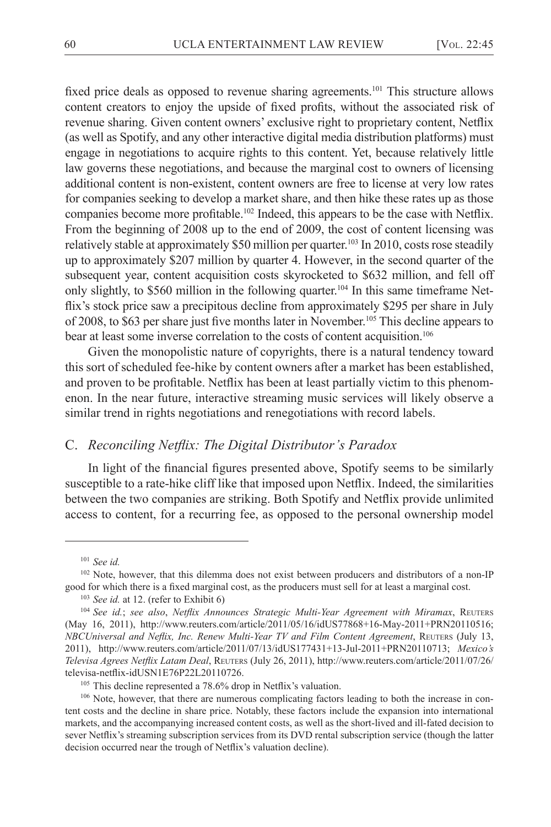<span id="page-16-0"></span>fixed price deals as opposed to revenue sharing agreements.<sup>101</sup> This structure allows content creators to enjoy the upside of fixed profits, without the associated risk of revenue sharing. Given content owners' exclusive right to proprietary content, Netflix (as well as Spotify, and any other interactive digital media distribution platforms) must engage in negotiations to acquire rights to this content. Yet, because relatively little law governs these negotiations, and because the marginal cost to owners of licensing additional content is non-existent, content owners are free to license at very low rates for companies seeking to develop a market share, and then hike these rates up as those companies become more profitable.<sup>102</sup> Indeed, this appears to be the case with Netflix. From the beginning of 2008 up to the end of 2009, the cost of content licensing was relatively stable at approximately \$50 million per quarter.<sup>103</sup> In 2010, costs rose steadily up to approximately \$207 million by quarter 4. However, in the second quarter of the subsequent year, content acquisition costs skyrocketed to \$632 million, and fell off only slightly, to \$560 million in the following quarter.<sup>104</sup> In this same timeframe Netflix's stock price saw a precipitous decline from approximately \$295 per share in July of 2008, to \$63 per share just five months later in November.<sup>105</sup> This decline appears to bear at least some inverse correlation to the costs of content acquisition.<sup>106</sup>

Given the monopolistic nature of copyrights, there is a natural tendency toward this sort of scheduled fee-hike by content owners after a market has been established, and proven to be profitable. Netflix has been at least partially victim to this phenomenon. In the near future, interactive streaming music services will likely observe a similar trend in rights negotiations and renegotiations with record labels.

# C. *Reconciling Netflix: The Digital Distributor's Paradox*

In light of the financial figures presented above, Spotify seems to be similarly susceptible to a rate-hike cliff like that imposed upon Netflix. Indeed, the similarities between the two companies are striking. Both Spotify and Netflix provide unlimited access to content, for a recurring fee, as opposed to the personal ownership model

<sup>101</sup> *See id.*

<sup>&</sup>lt;sup>102</sup> Note, however, that this dilemma does not exist between producers and distributors of a non-IP good for which there is a fixed marginal cost, as the producers must sell for at least a marginal cost.

<sup>103</sup> *See id.* at 12. (refer to Exhibit 6)

<sup>104</sup> *See id.*; *see also*, *Netflix Announces Strategic Multi-Year Agreement with Miramax*, Reuters (May 16, 2011), [http://www.reuters.com/article/2011/05/16/idUS77868+16-May-2011+PRN20110516;](http://www.reuters.com/article/2011/05/16/idUS77868+16-May-2011+PRN20110516) *NBCUniversal and Neflix, Inc. Renew Multi-Year TV and Film Content Agreement*, Reuters (July 13, 2011), [http://www.reuters.com/article/2011/07/13/idUS177431+13-Jul-2011+PRN20110713;](http://www.reuters.com/article/2011/07/13/idUS177431+13-Jul-2011+PRN20110713) *Mexico's Televisa Agrees Netflix Latam Deal*, Reuters (July 26, 2011), [http://www.reuters.com/article/2011/07/26/](http://www.reuters.com/article/2011/07/26/televisa-netflix-idUSN1E76P22L20110726.) [televisa-netflix-idUSN1E76P22L20110726.](http://www.reuters.com/article/2011/07/26/televisa-netflix-idUSN1E76P22L20110726.)

<sup>&</sup>lt;sup>105</sup> This decline represented a 78.6% drop in Netflix's valuation.

<sup>&</sup>lt;sup>106</sup> Note, however, that there are numerous complicating factors leading to both the increase in content costs and the decline in share price. Notably, these factors include the expansion into international markets, and the accompanying increased content costs, as well as the short-lived and ill-fated decision to sever Netflix's streaming subscription services from its DVD rental subscription service (though the latter decision occurred near the trough of Netflix's valuation decline).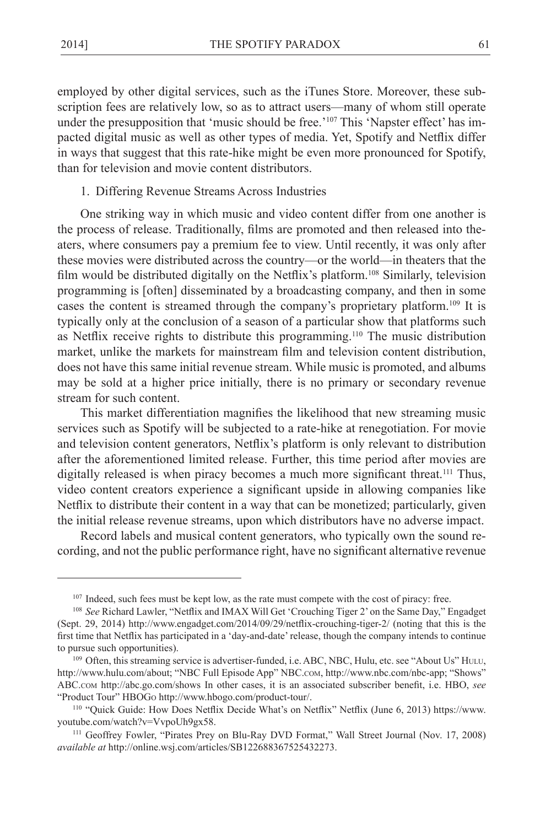employed by other digital services, such as the iTunes Store. Moreover, these subscription fees are relatively low, so as to attract users—many of whom still operate under the presupposition that 'music should be free.'<sup>107</sup> This 'Napster effect' has impacted digital music as well as other types of media. Yet, Spotify and Netflix differ in ways that suggest that this rate-hike might be even more pronounced for Spotify, than for television and movie content distributors.

1. Differing Revenue Streams Across Industries

One striking way in which music and video content differ from one another is the process of release. Traditionally, films are promoted and then released into theaters, where consumers pay a premium fee to view. Until recently, it was only after these movies were distributed across the country—or the world—in theaters that the film would be distributed digitally on the Netflix's platform.108 Similarly, television programming is [often] disseminated by a broadcasting company, and then in some cases the content is streamed through the company's proprietary platform.<sup>109</sup> It is typically only at the conclusion of a season of a particular show that platforms such as Netflix receive rights to distribute this programming.110 The music distribution market, unlike the markets for mainstream film and television content distribution, does not have this same initial revenue stream. While music is promoted, and albums may be sold at a higher price initially, there is no primary or secondary revenue stream for such content.

This market differentiation magnifies the likelihood that new streaming music services such as Spotify will be subjected to a rate-hike at renegotiation. For movie and television content generators, Netflix's platform is only relevant to distribution after the aforementioned limited release. Further, this time period after movies are digitally released is when piracy becomes a much more significant threat.111 Thus, video content creators experience a significant upside in allowing companies like Netflix to distribute their content in a way that can be monetized; particularly, given the initial release revenue streams, upon which distributors have no adverse impact.

Record labels and musical content generators, who typically own the sound recording, and not the public performance right, have no significant alternative revenue

<sup>&</sup>lt;sup>107</sup> Indeed, such fees must be kept low, as the rate must compete with the cost of piracy: free.

<sup>108</sup> *See* Richard Lawler, "Netflix and IMAX Will Get 'Crouching Tiger 2' on the Same Day," Engadget (Sept. 29, 2014) <http://www.engadget.com/2014/09/29/netflix-crouching-tiger-2/> (noting that this is the first time that Netflix has participated in a 'day-and-date' release, though the company intends to continue to pursue such opportunities).

<sup>&</sup>lt;sup>109</sup> Often, this streaming service is advertiser-funded, i.e. ABC, NBC, Hulu, etc. see "About Us" Hulu, [http://www.hulu.com/about;](http://www.hulu.com/about) "NBC Full Episode App" NBC.com,<http://www.nbc.com/nbc-app>; "Shows" ABC.com [http://abc.go.com/shows](ttp://abc.go.com/shows) In other cases, it is an associated subscriber benefit, i.e. HBO, *see* "Product Tour" HBOGo <http://www.hbogo.com/product-tour/.>

<sup>110</sup> "Quick Guide: How Does Netflix Decide What's on Netflix" Netflix (June 6, 2013) [https://www.](https://www.youtube.com/watch?v=VvpoUh9gx58.) [youtube.com/watch?v=VvpoUh9gx58.](https://www.youtube.com/watch?v=VvpoUh9gx58.)

<sup>111</sup> Geoffrey Fowler, "Pirates Prey on Blu-Ray DVD Format," Wall Street Journal (Nov. 17, 2008) *available at* <http://online.wsj.com/articles/SB122688367525432273.>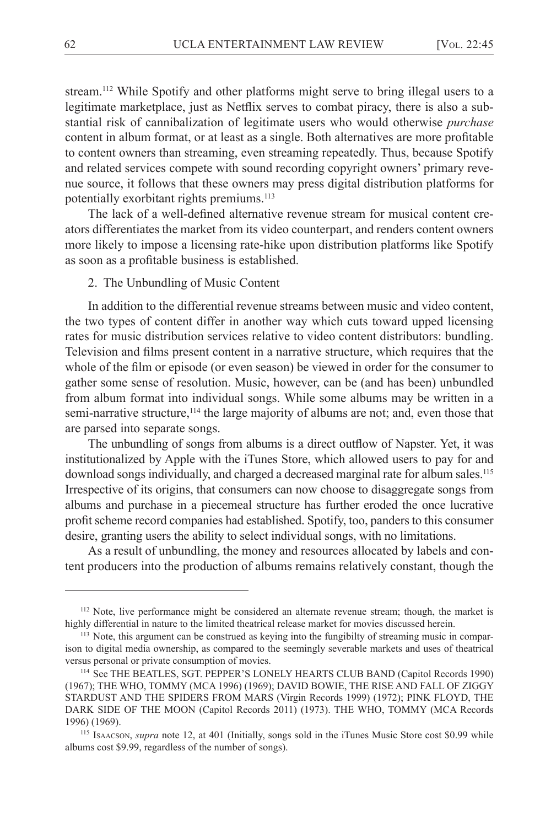<span id="page-18-0"></span>stream.112 While Spotify and other platforms might serve to bring illegal users to a legitimate marketplace, just as Netflix serves to combat piracy, there is also a substantial risk of cannibalization of legitimate users who would otherwise *purchase* content in album format, or at least as a single. Both alternatives are more profitable to content owners than streaming, even streaming repeatedly. Thus, because Spotify and related services compete with sound recording copyright owners' primary revenue source, it follows that these owners may press digital distribution platforms for potentially exorbitant rights premiums.<sup>113</sup>

The lack of a well-defined alternative revenue stream for musical content creators differentiates the market from its video counterpart, and renders content owners more likely to impose a licensing rate-hike upon distribution platforms like Spotify as soon as a profitable business is established.

#### 2. The Unbundling of Music Content

In addition to the differential revenue streams between music and video content, the two types of content differ in another way which cuts toward upped licensing rates for music distribution services relative to video content distributors: bundling. Television and films present content in a narrative structure, which requires that the whole of the film or episode (or even season) be viewed in order for the consumer to gather some sense of resolution. Music, however, can be (and has been) unbundled from album format into individual songs. While some albums may be written in a semi-narrative structure,<sup>114</sup> the large majority of albums are not; and, even those that are parsed into separate songs.

The unbundling of songs from albums is a direct outflow of Napster. Yet, it was institutionalized by Apple with the iTunes Store, which allowed users to pay for and download songs individually, and charged a decreased marginal rate for album sales.<sup>115</sup> Irrespective of its origins, that consumers can now choose to disaggregate songs from albums and purchase in a piecemeal structure has further eroded the once lucrative profit scheme record companies had established. Spotify, too, panders to this consumer desire, granting users the ability to select individual songs, with no limitations.

As a result of unbundling, the money and resources allocated by labels and content producers into the production of albums remains relatively constant, though the

<sup>&</sup>lt;sup>112</sup> Note, live performance might be considered an alternate revenue stream; though, the market is highly differential in nature to the limited theatrical release market for movies discussed herein.

<sup>&</sup>lt;sup>113</sup> Note, this argument can be construed as keying into the fungibilty of streaming music in comparison to digital media ownership, as compared to the seemingly severable markets and uses of theatrical versus personal or private consumption of movies.

<sup>114</sup> See THE BEATLES, SGT. PEPPER'S LONELY HEARTS CLUB BAND (Capitol Records 1990) (1967); THE WHO, TOMMY (MCA 1996) (1969); DAVID BOWIE, THE RISE AND FALL OF ZIGGY STARDUST AND THE SPIDERS FROM MARS (Virgin Records 1999) (1972); PINK FLOYD, THE DARK SIDE OF THE MOON (Capitol Records 2011) (1973). THE WHO, TOMMY (MCA Records 1996) (1969).

<sup>&</sup>lt;sup>115</sup> Isaacson, *supra* note 12, at 401 (Initially, songs sold in the iTunes Music Store cost \$0.99 while albums cost \$9.99, regardless of the number of songs).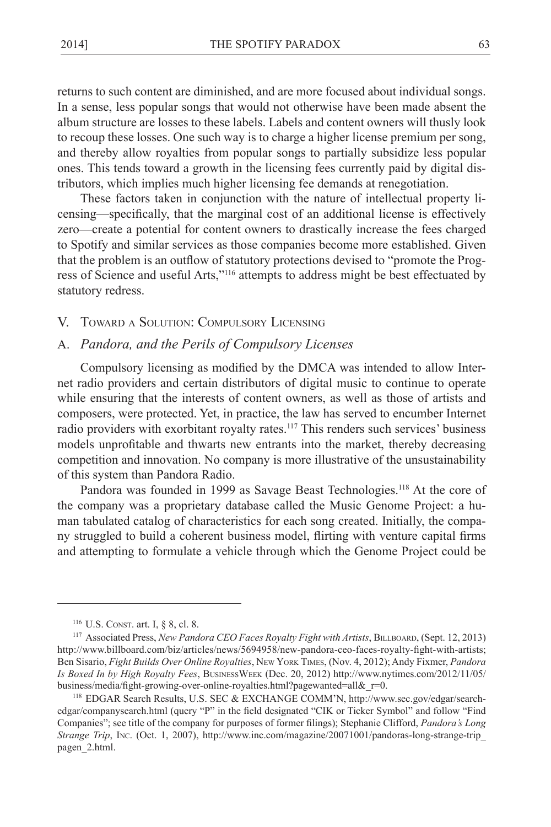returns to such content are diminished, and are more focused about individual songs. In a sense, less popular songs that would not otherwise have been made absent the album structure are losses to these labels. Labels and content owners will thusly look to recoup these losses. One such way is to charge a higher license premium per song, and thereby allow royalties from popular songs to partially subsidize less popular ones. This tends toward a growth in the licensing fees currently paid by digital distributors, which implies much higher licensing fee demands at renegotiation.

These factors taken in conjunction with the nature of intellectual property licensing—specifically, that the marginal cost of an additional license is effectively zero—create a potential for content owners to drastically increase the fees charged to Spotify and similar services as those companies become more established. Given that the problem is an outflow of statutory protections devised to "promote the Progress of Science and useful Arts,"116 attempts to address might be best effectuated by statutory redress.

V. Toward a Solution: Compulsory Licensing

### A. *Pandora, and the Perils of Compulsory Licenses*

Compulsory licensing as modified by the DMCA was intended to allow Internet radio providers and certain distributors of digital music to continue to operate while ensuring that the interests of content owners, as well as those of artists and composers, were protected. Yet, in practice, the law has served to encumber Internet radio providers with exorbitant royalty rates.<sup>117</sup> This renders such services' business models unprofitable and thwarts new entrants into the market, thereby decreasing competition and innovation. No company is more illustrative of the unsustainability of this system than Pandora Radio.

Pandora was founded in 1999 as Savage Beast Technologies.<sup>118</sup> At the core of the company was a proprietary database called the Music Genome Project: a human tabulated catalog of characteristics for each song created. Initially, the company struggled to build a coherent business model, flirting with venture capital firms and attempting to formulate a vehicle through which the Genome Project could be

<sup>&</sup>lt;sup>116</sup> U.S. CONST. art. I, § 8, cl. 8.

<sup>117</sup> Associated Press, *New Pandora CEO Faces Royalty Fight with Artists*, Billboard, (Sept. 12, 2013) <http://www.billboard.com/biz/articles/news/5694958/new-pandora-ceo-faces-royalty-fight-with-artists>; Ben Sisario, *Fight Builds Over Online Royalties*, New York Times, (Nov. 4, 2012); Andy Fixmer, *Pandora Is Boxed In by High Royalty Fees*, BusinessWeek (Dec. 20, 2012) [http://www.nytimes.com/2012/11/05/](http://www.nytimes.com/2012/11/05/business/media/fight-growing-over-online-royalties.html?pagewanted) [business/media/fight-growing-over-online-royalties.html?pagewanted=all&\\_r=0.](http://www.nytimes.com/2012/11/05/business/media/fight-growing-over-online-royalties.html?pagewanted)

<sup>118</sup> EDGAR Search Results, U.S. SEC & EXCHANGE COMM'N, [http://www.sec.gov/edgar/search](http://www.sec.gov/edgar/searchedgar/companysearch.html)[edgar/companysearch.html](http://www.sec.gov/edgar/searchedgar/companysearch.html) (query "P" in the field designated "CIK or Ticker Symbol" and follow "Find Companies"; see title of the company for purposes of former filings); Stephanie Clifford, *Pandora's Long Strange Trip*, Inc. (Oct. 1, 2007), [http://www.inc.com/magazine/20071001/pandoras-long-strange-trip\\_](http://www.inc.com/magazine/20071001/pandoras-long-strange-trip_pagen_2.html.) [pagen\\_2.html.](http://www.inc.com/magazine/20071001/pandoras-long-strange-trip_pagen_2.html.)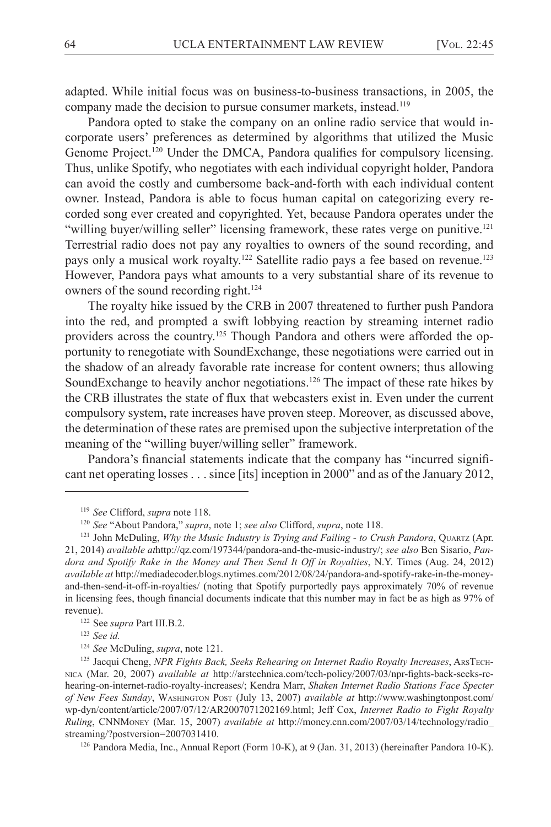<span id="page-20-0"></span>adapted. While initial focus was on business-to-business transactions, in 2005, the company made the decision to pursue consumer markets, instead.<sup>119</sup>

Pandora opted to stake the company on an online radio service that would incorporate users' preferences as determined by algorithms that utilized the Music Genome Project.<sup>120</sup> Under the DMCA, Pandora qualifies for compulsory licensing. Thus, unlike Spotify, who negotiates with each individual copyright holder, Pandora can avoid the costly and cumbersome back-and-forth with each individual content owner. Instead, Pandora is able to focus human capital on categorizing every recorded song ever created and copyrighted. Yet, because Pandora operates under the "willing buyer/willing seller" licensing framework, these rates verge on punitive.<sup>121</sup> Terrestrial radio does not pay any royalties to owners of the sound recording, and pays only a musical work royalty.<sup>122</sup> Satellite radio pays a fee based on revenue.<sup>123</sup> However, Pandora pays what amounts to a very substantial share of its revenue to owners of the sound recording right.<sup>124</sup>

The royalty hike issued by the CRB in 2007 threatened to further push Pandora into the red, and prompted a swift lobbying reaction by streaming internet radio providers across the country.<sup>125</sup> Though Pandora and others were afforded the opportunity to renegotiate with SoundExchange, these negotiations were carried out in the shadow of an already favorable rate increase for content owners; thus allowing SoundExchange to heavily anchor negotiations.126 The impact of these rate hikes by the CRB illustrates the state of flux that webcasters exist in. Even under the current compulsory system, rate increases have proven steep. Moreover, as discussed above, the determination of these rates are premised upon the subjective interpretation of the meaning of the "willing buyer/willing seller" framework.

Pandora's financial statements indicate that the company has "incurred significant net operating losses . . . since [its] inception in 2000" and as of the January 2012,

<sup>126</sup> Pandora Media, Inc., Annual Report (Form 10-K), at 9 (Jan. 31, 2013) (hereinafter Pandora 10-K).

<sup>119</sup> *See* Clifford, *supra* note 118.

<sup>120</sup> *See* "About Pandora," *supra*, note 1; *see also* Clifford, *supra*, note 118.

<sup>121</sup> John McDuling, *Why the Music Industry is Trying and Failing - to Crush Pandora*, Quartz (Apr. 21, 2014) *available at*<http://qz.com/197344/pandora-and-the-music-industry/>; *see also* Ben Sisario, *Pandora and Spotify Rake in the Money and Then Send It Off in Royalties*, N.Y. Times (Aug. 24, 2012) *available at* [http://mediadecoder.blogs.nytimes.com/2012/08/24/pandora-and-spotify-rake-in-the-money](http://mediadecoder.blogs.nytimes.com/2012/08/24/pandora-and-spotify-rake-in-the-money-and-then-send)[and-then-send-it-off-in-royalties/](http://mediadecoder.blogs.nytimes.com/2012/08/24/pandora-and-spotify-rake-in-the-money-and-then-send) (noting that Spotify purportedly pays approximately 70% of revenue in licensing fees, though financial documents indicate that this number may in fact be as high as 97% of revenue).

<sup>122</sup> See *supra* Part III.B.2.

<sup>123</sup> *See id.*

<sup>124</sup> *See* McDuling, *supra*, note 121.

<sup>125</sup> Jacqui Cheng, *NPR Fights Back, Seeks Rehearing on Internet Radio Royalty Increases*, ArsTechnica (Mar. 20, 2007) *available at* [http://arstechnica.com/tech-policy/2007/03/npr-fights-back-seeks-re](http://arstechnica.com/tech-policy/2007/03/npr-fights-back-seeks-rehearing-on-internet-radio-royalty)[hearing-on-internet-radio-royalty-increases/](http://arstechnica.com/tech-policy/2007/03/npr-fights-back-seeks-rehearing-on-internet-radio-royalty); Kendra Marr, *Shaken Internet Radio Stations Face Specter of New Fees Sunday*, Washington Post (July 13, 2007) *available at* [http://www.washingtonpost.com/](http://www.washingtonpost.com/wp-dyn/content/article/2007/07/12/AR2007071202169.html) [wp-dyn/content/article/2007/07/12/AR2007071202169.html](http://www.washingtonpost.com/wp-dyn/content/article/2007/07/12/AR2007071202169.html); Jeff Cox, *Internet Radio to Fight Royalty Ruling*, CNNMoney (Mar. 15, 2007) *available at* [http://money.cnn.com/2007/03/14/technology/radio\\_](http://money.cnn.com/2007/03/14/technology/radio_streaming/?postversion=2007031410.) [streaming/?postversion=2007031410.](http://money.cnn.com/2007/03/14/technology/radio_streaming/?postversion=2007031410.)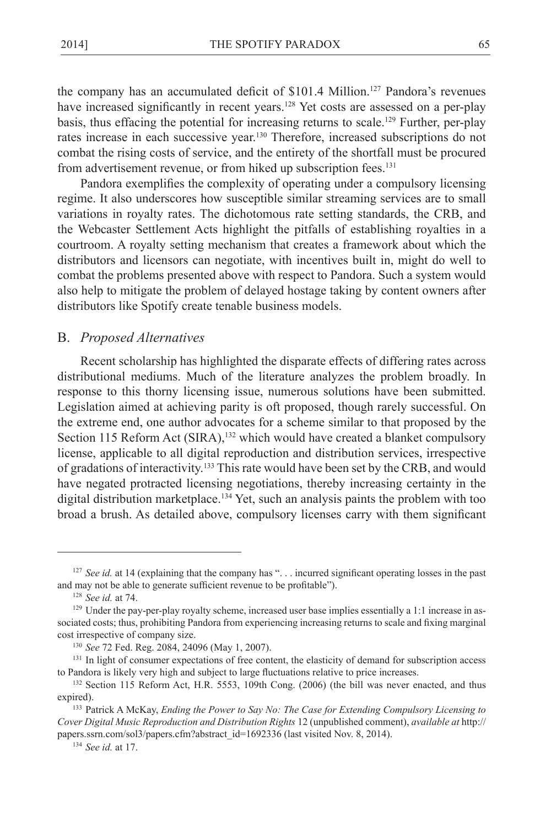the company has an accumulated deficit of \$101.4 Million.127 Pandora's revenues have increased significantly in recent years.<sup>128</sup> Yet costs are assessed on a per-play basis, thus effacing the potential for increasing returns to scale.<sup>129</sup> Further, per-play rates increase in each successive year.130 Therefore, increased subscriptions do not combat the rising costs of service, and the entirety of the shortfall must be procured from advertisement revenue, or from hiked up subscription fees.<sup>131</sup>

Pandora exemplifies the complexity of operating under a compulsory licensing regime. It also underscores how susceptible similar streaming services are to small variations in royalty rates. The dichotomous rate setting standards, the CRB, and the Webcaster Settlement Acts highlight the pitfalls of establishing royalties in a courtroom. A royalty setting mechanism that creates a framework about which the distributors and licensors can negotiate, with incentives built in, might do well to combat the problems presented above with respect to Pandora. Such a system would also help to mitigate the problem of delayed hostage taking by content owners after distributors like Spotify create tenable business models.

#### B. *Proposed Alternatives*

Recent scholarship has highlighted the disparate effects of differing rates across distributional mediums. Much of the literature analyzes the problem broadly. In response to this thorny licensing issue, numerous solutions have been submitted. Legislation aimed at achieving parity is oft proposed, though rarely successful. On the extreme end, one author advocates for a scheme similar to that proposed by the Section 115 Reform Act (SIRA),<sup>132</sup> which would have created a blanket compulsory license, applicable to all digital reproduction and distribution services, irrespective of gradations of interactivity.<sup>133</sup> This rate would have been set by the CRB, and would have negated protracted licensing negotiations, thereby increasing certainty in the digital distribution marketplace.134 Yet, such an analysis paints the problem with too broad a brush. As detailed above, compulsory licenses carry with them significant

<sup>&</sup>lt;sup>127</sup> *See id.* at 14 (explaining that the company has "... incurred significant operating losses in the past and may not be able to generate sufficient revenue to be profitable").

<sup>128</sup> *See id.* at 74.

 $129$  Under the pay-per-play royalty scheme, increased user base implies essentially a 1:1 increase in associated costs; thus, prohibiting Pandora from experiencing increasing returns to scale and fixing marginal cost irrespective of company size.

<sup>130</sup> *See* 72 Fed. Reg. 2084, 24096 (May 1, 2007).

<sup>&</sup>lt;sup>131</sup> In light of consumer expectations of free content, the elasticity of demand for subscription access to Pandora is likely very high and subject to large fluctuations relative to price increases.

<sup>&</sup>lt;sup>132</sup> Section 115 Reform Act, H.R. 5553, 109th Cong. (2006) (the bill was never enacted, and thus expired).

<sup>133</sup> Patrick A McKay, *Ending the Power to Say No: The Case for Extending Compulsory Licensing to Cover Digital Music Reproduction and Distribution Rights* 12 (unpublished comment), *available at* [http://](http://papers.ssrn.com/sol3/papers.cfm?abstract_id=1692336) [papers.ssrn.com/sol3/papers.cfm?abstract\\_id=1692336](http://papers.ssrn.com/sol3/papers.cfm?abstract_id=1692336) (last visited Nov. 8, 2014).

<sup>134</sup> *See id.* at 17.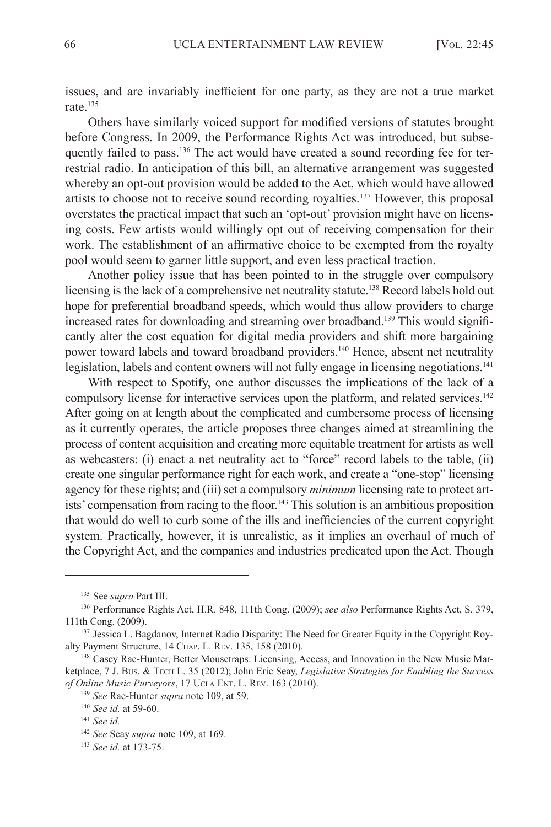<span id="page-22-0"></span>issues, and are invariably inefficient for one party, as they are not a true market rate 135

Others have similarly voiced support for modified versions of statutes brought before Congress. In 2009, the Performance Rights Act was introduced, but subsequently failed to pass.<sup>136</sup> The act would have created a sound recording fee for terrestrial radio. In anticipation of this bill, an alternative arrangement was suggested whereby an opt-out provision would be added to the Act, which would have allowed artists to choose not to receive sound recording royalties.137 However, this proposal overstates the practical impact that such an 'opt-out' provision might have on licensing costs. Few artists would willingly opt out of receiving compensation for their work. The establishment of an affirmative choice to be exempted from the royalty pool would seem to garner little support, and even less practical traction.

Another policy issue that has been pointed to in the struggle over compulsory licensing is the lack of a comprehensive net neutrality statute.138 Record labels hold out hope for preferential broadband speeds, which would thus allow providers to charge increased rates for downloading and streaming over broadband.139 This would significantly alter the cost equation for digital media providers and shift more bargaining power toward labels and toward broadband providers.<sup>140</sup> Hence, absent net neutrality legislation, labels and content owners will not fully engage in licensing negotiations.141

With respect to Spotify, one author discusses the implications of the lack of a compulsory license for interactive services upon the platform, and related services.<sup>142</sup> After going on at length about the complicated and cumbersome process of licensing as it currently operates, the article proposes three changes aimed at streamlining the process of content acquisition and creating more equitable treatment for artists as well as webcasters: (i) enact a net neutrality act to "force" record labels to the table, (ii) create one singular performance right for each work, and create a "one-stop" licensing agency for these rights; and (iii) set a compulsory *minimum* licensing rate to protect artists' compensation from racing to the floor.<sup>143</sup> This solution is an ambitious proposition that would do well to curb some of the ills and inefficiencies of the current copyright system. Practically, however, it is unrealistic, as it implies an overhaul of much of the Copyright Act, and the companies and industries predicated upon the Act. Though

<sup>135</sup> See *supra* Part III.

<sup>136</sup> Performance Rights Act, H.R. 848, 111th Cong. (2009); *see also* Performance Rights Act, S. 379, 111th Cong. (2009).

<sup>&</sup>lt;sup>137</sup> Jessica L. Bagdanov, Internet Radio Disparity: The Need for Greater Equity in the Copyright Royalty Payment Structure, 14 Chap. L. Rev. 135, 158 (2010).

<sup>&</sup>lt;sup>138</sup> Casey Rae-Hunter, Better Mousetraps: Licensing, Access, and Innovation in the New Music Marketplace, 7 J. Bus. & Tech L. 35 (2012); John Eric Seay, *Legislative Strategies for Enabling the Success of Online Music Purveyors*, 17 Ucla Ent. L. Rev. 163 (2010).

<sup>139</sup> *See* Rae-Hunter *supra* note 109, at 59.

<sup>140</sup> *See id.* at 59-60.

<sup>141</sup> *See id.*

<sup>142</sup> *See* Seay *supra* note 109, at 169.

<sup>143</sup> *See id.* at 173-75.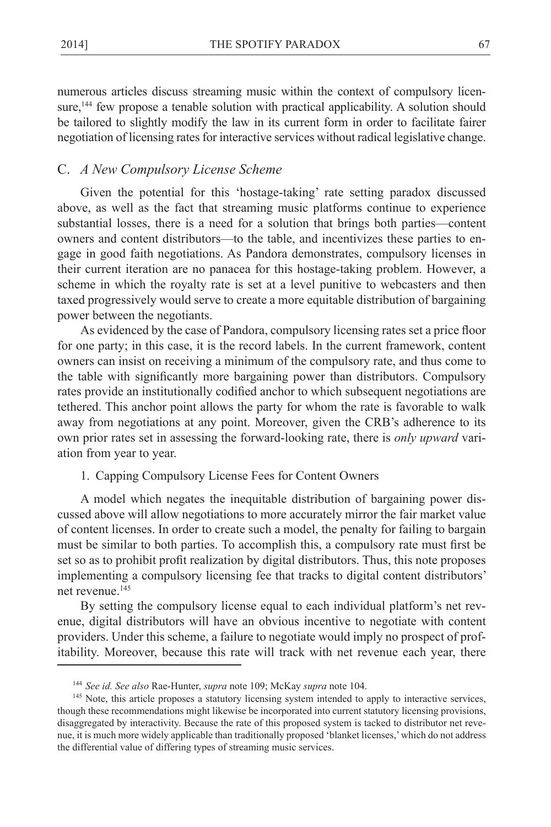numerous articles discuss streaming music within the context of compulsory licensure,<sup>144</sup> few propose a tenable solution with practical applicability. A solution should be tailored to slightly modify the law in its current form in order to facilitate fairer negotiation of licensing rates for interactive services without radical legislative change.

# C. *A New Compulsory License Scheme*

Given the potential for this 'hostage-taking' rate setting paradox discussed above, as well as the fact that streaming music platforms continue to experience substantial losses, there is a need for a solution that brings both parties—content owners and content distributors—to the table, and incentivizes these parties to engage in good faith negotiations. As Pandora demonstrates, compulsory licenses in their current iteration are no panacea for this hostage-taking problem. However, a scheme in which the royalty rate is set at a level punitive to webcasters and then taxed progressively would serve to create a more equitable distribution of bargaining power between the negotiants.

As evidenced by the case of Pandora, compulsory licensing rates set a price floor for one party; in this case, it is the record labels. In the current framework, content owners can insist on receiving a minimum of the compulsory rate, and thus come to the table with significantly more bargaining power than distributors. Compulsory rates provide an institutionally codified anchor to which subsequent negotiations are tethered. This anchor point allows the party for whom the rate is favorable to walk away from negotiations at any point. Moreover, given the CRB's adherence to its own prior rates set in assessing the forward-looking rate, there is *only upward* variation from year to year.

#### 1. Capping Compulsory License Fees for Content Owners

A model which negates the inequitable distribution of bargaining power discussed above will allow negotiations to more accurately mirror the fair market value of content licenses. In order to create such a model, the penalty for failing to bargain must be similar to both parties. To accomplish this, a compulsory rate must first be set so as to prohibit profit realization by digital distributors. Thus, this note proposes implementing a compulsory licensing fee that tracks to digital content distributors' net revenue.<sup>145</sup>

By setting the compulsory license equal to each individual platform's net revenue, digital distributors will have an obvious incentive to negotiate with content providers. Under this scheme, a failure to negotiate would imply no prospect of profitability. Moreover, because this rate will track with net revenue each year, there

<sup>144</sup> *See id. See also* Rae-Hunter, *supra* note 109; McKay *supra* note 104.

<sup>&</sup>lt;sup>145</sup> Note, this article proposes a statutory licensing system intended to apply to interactive services, though these recommendations might likewise be incorporated into current statutory licensing provisions, disaggregated by interactivity. Because the rate of this proposed system is tacked to distributor net revenue, it is much more widely applicable than traditionally proposed 'blanket licenses,' which do not address the differential value of differing types of streaming music services.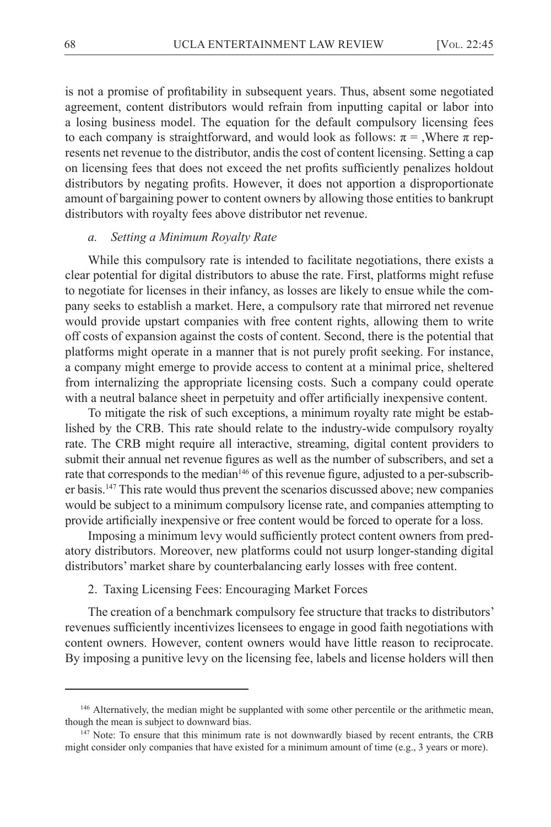is not a promise of profitability in subsequent years. Thus, absent some negotiated agreement, content distributors would refrain from inputting capital or labor into a losing business model. The equation for the default compulsory licensing fees to each company is straightforward, and would look as follows:  $\pi$  = , Where  $\pi$  represents net revenue to the distributor, andis the cost of content licensing. Setting a cap on licensing fees that does not exceed the net profits sufficiently penalizes holdout distributors by negating profits. However, it does not apportion a disproportionate amount of bargaining power to content owners by allowing those entities to bankrupt distributors with royalty fees above distributor net revenue.

#### *a. Setting a Minimum Royalty Rate*

While this compulsory rate is intended to facilitate negotiations, there exists a clear potential for digital distributors to abuse the rate. First, platforms might refuse to negotiate for licenses in their infancy, as losses are likely to ensue while the company seeks to establish a market. Here, a compulsory rate that mirrored net revenue would provide upstart companies with free content rights, allowing them to write off costs of expansion against the costs of content. Second, there is the potential that platforms might operate in a manner that is not purely profit seeking. For instance, a company might emerge to provide access to content at a minimal price, sheltered from internalizing the appropriate licensing costs. Such a company could operate with a neutral balance sheet in perpetuity and offer artificially inexpensive content.

To mitigate the risk of such exceptions, a minimum royalty rate might be established by the CRB. This rate should relate to the industry-wide compulsory royalty rate. The CRB might require all interactive, streaming, digital content providers to submit their annual net revenue figures as well as the number of subscribers, and set a rate that corresponds to the median<sup>146</sup> of this revenue figure, adjusted to a per-subscriber basis.147 This rate would thus prevent the scenarios discussed above; new companies would be subject to a minimum compulsory license rate, and companies attempting to provide artificially inexpensive or free content would be forced to operate for a loss.

Imposing a minimum levy would sufficiently protect content owners from predatory distributors. Moreover, new platforms could not usurp longer-standing digital distributors' market share by counterbalancing early losses with free content.

#### 2. Taxing Licensing Fees: Encouraging Market Forces

The creation of a benchmark compulsory fee structure that tracks to distributors' revenues sufficiently incentivizes licensees to engage in good faith negotiations with content owners. However, content owners would have little reason to reciprocate. By imposing a punitive levy on the licensing fee, labels and license holders will then

<sup>&</sup>lt;sup>146</sup> Alternatively, the median might be supplanted with some other percentile or the arithmetic mean, though the mean is subject to downward bias.

<sup>&</sup>lt;sup>147</sup> Note: To ensure that this minimum rate is not downwardly biased by recent entrants, the CRB might consider only companies that have existed for a minimum amount of time (e.g., 3 years or more).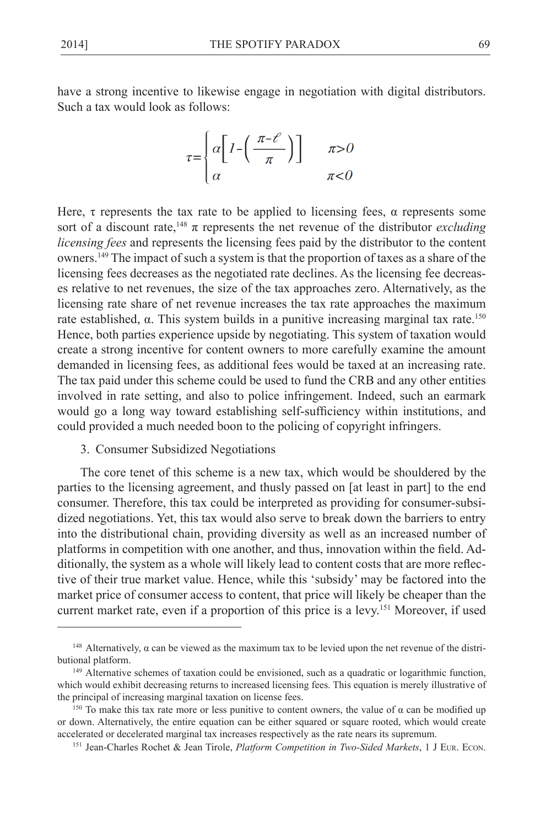have a strong incentive to likewise engage in negotiation with digital distributors. Such a tax would look as follows:

$$
\tau = \begin{cases} \alpha \left[ I - \left( \frac{\pi - \ell}{\pi} \right) \right] & \pi > 0 \\ \alpha & \pi < 0 \end{cases}
$$

Here,  $\tau$  represents the tax rate to be applied to licensing fees,  $\alpha$  represents some sort of a discount rate,148 π represents the net revenue of the distributor *excluding licensing fees* and represents the licensing fees paid by the distributor to the content owners.149 The impact of such a system is that the proportion of taxes as a share of the licensing fees decreases as the negotiated rate declines. As the licensing fee decreases relative to net revenues, the size of the tax approaches zero. Alternatively, as the licensing rate share of net revenue increases the tax rate approaches the maximum rate established,  $α$ . This system builds in a punitive increasing marginal tax rate.<sup>150</sup> Hence, both parties experience upside by negotiating. This system of taxation would create a strong incentive for content owners to more carefully examine the amount demanded in licensing fees, as additional fees would be taxed at an increasing rate. The tax paid under this scheme could be used to fund the CRB and any other entities involved in rate setting, and also to police infringement. Indeed, such an earmark would go a long way toward establishing self-sufficiency within institutions, and could provided a much needed boon to the policing of copyright infringers.

#### 3. Consumer Subsidized Negotiations

The core tenet of this scheme is a new tax, which would be shouldered by the parties to the licensing agreement, and thusly passed on [at least in part] to the end consumer. Therefore, this tax could be interpreted as providing for consumer-subsidized negotiations. Yet, this tax would also serve to break down the barriers to entry into the distributional chain, providing diversity as well as an increased number of platforms in competition with one another, and thus, innovation within the field. Additionally, the system as a whole will likely lead to content costs that are more reflective of their true market value. Hence, while this 'subsidy' may be factored into the market price of consumer access to content, that price will likely be cheaper than the current market rate, even if a proportion of this price is a levy.151 Moreover, if used

<sup>&</sup>lt;sup>148</sup> Alternatively,  $\alpha$  can be viewed as the maximum tax to be levied upon the net revenue of the distributional platform.

<sup>149</sup> Alternative schemes of taxation could be envisioned, such as a quadratic or logarithmic function, which would exhibit decreasing returns to increased licensing fees. This equation is merely illustrative of the principal of increasing marginal taxation on license fees.

<sup>&</sup>lt;sup>150</sup> To make this tax rate more or less punitive to content owners, the value of  $\alpha$  can be modified up or down. Alternatively, the entire equation can be either squared or square rooted, which would create accelerated or decelerated marginal tax increases respectively as the rate nears its supremum.

<sup>151</sup> Jean-Charles Rochet & Jean Tirole, *Platform Competition in Two-Sided Markets*, 1 J Eur. Econ.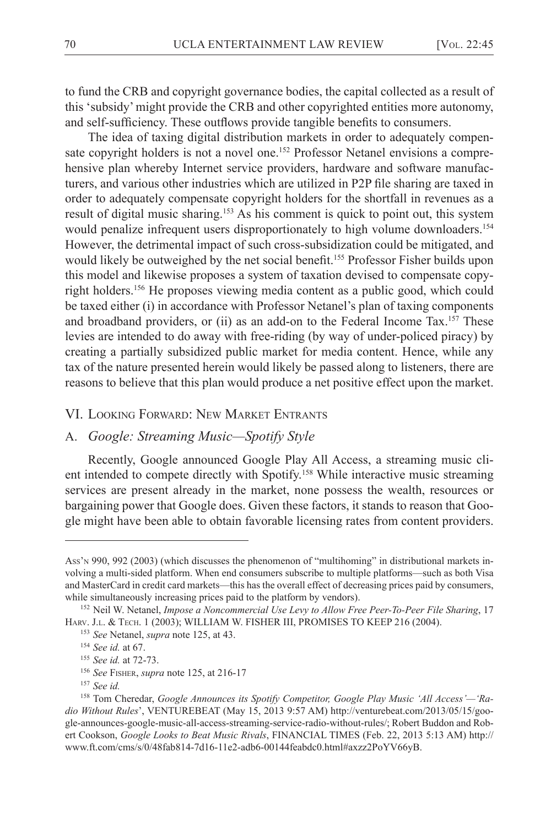<span id="page-26-0"></span>to fund the CRB and copyright governance bodies, the capital collected as a result of this 'subsidy' might provide the CRB and other copyrighted entities more autonomy, and self-sufficiency. These outflows provide tangible benefits to consumers.

The idea of taxing digital distribution markets in order to adequately compensate copyright holders is not a novel one.<sup>152</sup> Professor Netanel envisions a comprehensive plan whereby Internet service providers, hardware and software manufacturers, and various other industries which are utilized in P2P file sharing are taxed in order to adequately compensate copyright holders for the shortfall in revenues as a result of digital music sharing.153 As his comment is quick to point out, this system would penalize infrequent users disproportionately to high volume downloaders.<sup>154</sup> However, the detrimental impact of such cross-subsidization could be mitigated, and would likely be outweighed by the net social benefit.<sup>155</sup> Professor Fisher builds upon this model and likewise proposes a system of taxation devised to compensate copyright holders.156 He proposes viewing media content as a public good, which could be taxed either (i) in accordance with Professor Netanel's plan of taxing components and broadband providers, or (ii) as an add-on to the Federal Income Tax.<sup>157</sup> These levies are intended to do away with free-riding (by way of under-policed piracy) by creating a partially subsidized public market for media content. Hence, while any tax of the nature presented herein would likely be passed along to listeners, there are reasons to believe that this plan would produce a net positive effect upon the market.

# VI. Looking Forward: New Market Entrants

#### A. *Google: Streaming Music—Spotify Style*

Recently, Google announced Google Play All Access, a streaming music client intended to compete directly with Spotify.158 While interactive music streaming services are present already in the market, none possess the wealth, resources or bargaining power that Google does. Given these factors, it stands to reason that Google might have been able to obtain favorable licensing rates from content providers.

Ass'n 990, 992 (2003) (which discusses the phenomenon of "multihoming" in distributional markets involving a multi-sided platform. When end consumers subscribe to multiple platforms—such as both Visa and MasterCard in credit card markets—this has the overall effect of decreasing prices paid by consumers, while simultaneously increasing prices paid to the platform by vendors).

<sup>152</sup> Neil W. Netanel, *Impose a Noncommercial Use Levy to Allow Free Peer-To-Peer File Sharing*, 17 Harv. J.l. & Tech. 1 (2003); WILLIAM W. FISHER III, PROMISES TO KEEP 216 (2004).

<sup>153</sup> *See* Netanel, *supra* note 125, at 43.

<sup>154</sup> *See id.* at 67.

<sup>155</sup> *See id.* at 72-73.

<sup>156</sup> *See* Fisher, *supra* note 125, at 216-17

<sup>157</sup> *See id.*

<sup>158</sup> Tom Cheredar, *Google Announces its Spotify Competitor, Google Play Music 'All Access'—'Radio Without Rules*', VENTUREBEAT (May 15, 2013 9:57 AM) [http://venturebeat.com/2013/05/15/goo](http://venturebeat.com/2013/05/15/google-announces-google-music-all-access-streaming-service-radio-w)[gle-announces-google-music-all-access-streaming-service-radio-without-rules/](http://venturebeat.com/2013/05/15/google-announces-google-music-all-access-streaming-service-radio-w); Robert Buddon and Robert Cookson, *Google Looks to Beat Music Rivals*, FINANCIAL TIMES (Feb. 22, 2013 5:13 AM) h[ttp://](ttp://www.ft.com/cms/s/0/48fab814-7d16-11e2-adb6-00144feabdc0.html#axzz2PoYV66yB.) [www.ft.com/cms/s/0/48fab814-7d16-11e2-adb6-00144feabdc0.html#axzz2PoYV66yB.](ttp://www.ft.com/cms/s/0/48fab814-7d16-11e2-adb6-00144feabdc0.html#axzz2PoYV66yB.)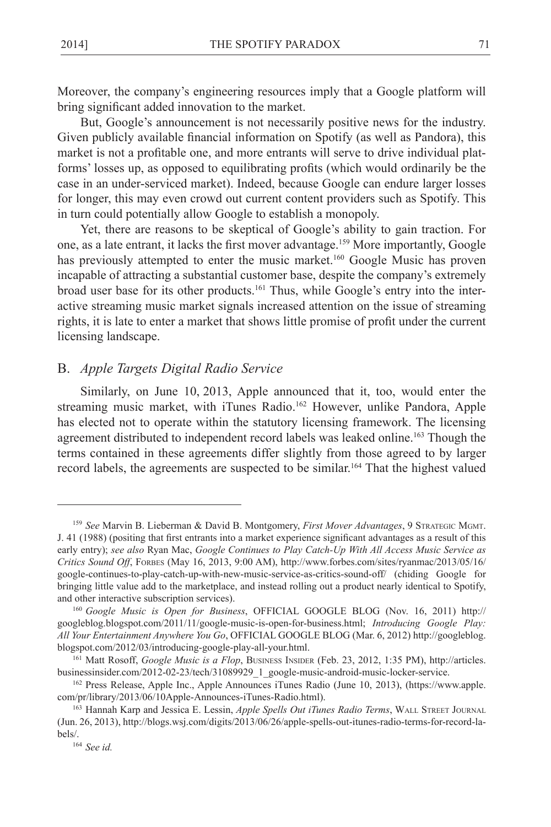<span id="page-27-0"></span>Moreover, the company's engineering resources imply that a Google platform will bring significant added innovation to the market.

But, Google's announcement is not necessarily positive news for the industry. Given publicly available financial information on Spotify (as well as Pandora), this market is not a profitable one, and more entrants will serve to drive individual platforms' losses up, as opposed to equilibrating profits (which would ordinarily be the case in an under-serviced market). Indeed, because Google can endure larger losses for longer, this may even crowd out current content providers such as Spotify. This in turn could potentially allow Google to establish a monopoly.

Yet, there are reasons to be skeptical of Google's ability to gain traction. For one, as a late entrant, it lacks the first mover advantage.159 More importantly, Google has previously attempted to enter the music market.<sup>160</sup> Google Music has proven incapable of attracting a substantial customer base, despite the company's extremely broad user base for its other products.161 Thus, while Google's entry into the interactive streaming music market signals increased attention on the issue of streaming rights, it is late to enter a market that shows little promise of profit under the current licensing landscape.

# B. *Apple Targets Digital Radio Service*

Similarly, on June 10, 2013, Apple announced that it, too, would enter the streaming music market, with iTunes Radio.<sup>162</sup> However, unlike Pandora, Apple has elected not to operate within the statutory licensing framework. The licensing agreement distributed to independent record labels was leaked online.163 Though the terms contained in these agreements differ slightly from those agreed to by larger record labels, the agreements are suspected to be similar.<sup>164</sup> That the highest valued

<sup>159</sup> *See* Marvin B. Lieberman & David B. Montgomery, *First Mover Advantages*, 9 Strategic Mgmt. J. 41 (1988) (positing that first entrants into a market experience significant advantages as a result of this early entry); *see also* Ryan Mac, *Google Continues to Play Catch-Up With All Access Music Service as Critics Sound Off*, Forbes (May 16, 2013, 9:00 AM), [http://www.forbes.com/sites/ryanmac/2013/05/16/](http://www.forbes.com/sites/ryanmac/2013/05/16/google-continues-to-play-catch-up-with-new-music-serv) [google-continues-to-play-catch-up-with-new-music-service-as-critics-sound-off/](http://www.forbes.com/sites/ryanmac/2013/05/16/google-continues-to-play-catch-up-with-new-music-serv) (chiding Google for bringing little value add to the marketplace, and instead rolling out a product nearly identical to Spotify, and other interactive subscription services).

<sup>160</sup> *Google Music is Open for Business*, OFFICIAL GOOGLE BLOG (Nov. 16, 2011) [http://](http://googleblog.blogspot.com/2011/11/google-music-is-open-for-business.html) [googleblog.blogspot.com/2011/11/google-music-is-open-for-business.html](http://googleblog.blogspot.com/2011/11/google-music-is-open-for-business.html); *Introducing Google Play: All Your Entertainment Anywhere You Go*, OFFICIAL GOOGLE BLOG (Mar. 6, 2012) [http://googleblog.](http://googleblog.blogspot.com/2012/03/introducing-google-play-all-your.html.) [blogspot.com/2012/03/introducing-google-play-all-your.html.](http://googleblog.blogspot.com/2012/03/introducing-google-play-all-your.html.)

<sup>161</sup> Matt Rosoff, *Google Music is a Flop*, Business Insider (Feb. 23, 2012, 1:35 PM), [http://articles.](http://articles.businessinsider.com/2012-02-23/tech/31089929_1_google-music-android-music-locker-ser) [businessinsider.com/2012-02-23/tech/31089929\\_1\\_google-music-android-music-locker-service.](http://articles.businessinsider.com/2012-02-23/tech/31089929_1_google-music-android-music-locker-ser)

<sup>162</sup> Press Release, Apple Inc., Apple Announces iTunes Radio (June 10, 2013), ([https://www.apple.](https://www.apple.com/pr/library/2013/06/10Apple-Announces-iTunes-Radio.html) [com/pr/library/2013/06/10Apple-Announces-iTunes-Radio.html\)](https://www.apple.com/pr/library/2013/06/10Apple-Announces-iTunes-Radio.html).

<sup>163</sup> Hannah Karp and Jessica E. Lessin, *Apple Spells Out iTunes Radio Terms*, Wall Street Journal (Jun. 26, 2013), [http://blogs.wsj.com/digits/2013/06/26/apple-spells-out-itunes-radio-terms-for-record-la](http://blogs.wsj.com/digits/2013/06/26/apple-spells-out-itunes-radio-terms-for-record-labels/.)[bels/.](http://blogs.wsj.com/digits/2013/06/26/apple-spells-out-itunes-radio-terms-for-record-labels/.)

<sup>164</sup> *See id.*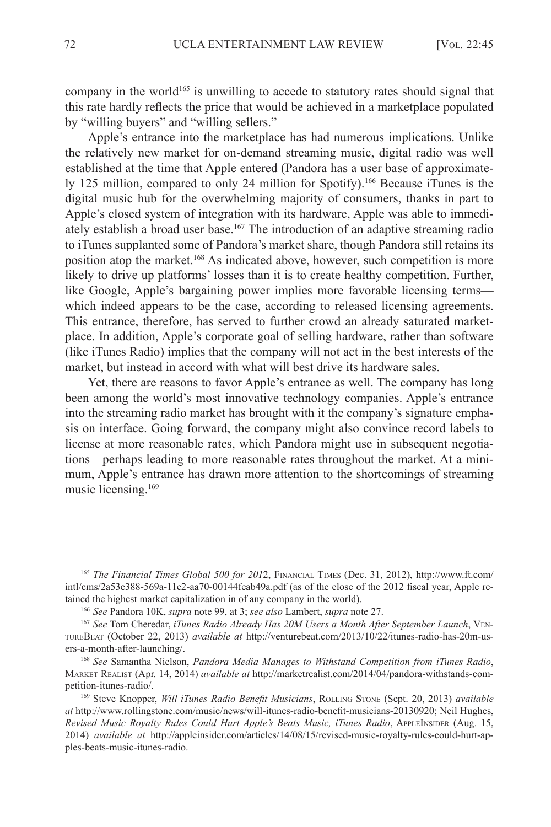<span id="page-28-0"></span>company in the world<sup>165</sup> is unwilling to accede to statutory rates should signal that this rate hardly reflects the price that would be achieved in a marketplace populated by "willing buyers" and "willing sellers."

Apple's entrance into the marketplace has had numerous implications. Unlike the relatively new market for on-demand streaming music, digital radio was well established at the time that Apple entered (Pandora has a user base of approximately 125 million, compared to only 24 million for Spotify).166 Because iTunes is the digital music hub for the overwhelming majority of consumers, thanks in part to Apple's closed system of integration with its hardware, Apple was able to immediately establish a broad user base.<sup>167</sup> The introduction of an adaptive streaming radio to iTunes supplanted some of Pandora's market share, though Pandora still retains its position atop the market.168 As indicated above, however, such competition is more likely to drive up platforms' losses than it is to create healthy competition. Further, like Google, Apple's bargaining power implies more favorable licensing terms which indeed appears to be the case, according to released licensing agreements. This entrance, therefore, has served to further crowd an already saturated marketplace. In addition, Apple's corporate goal of selling hardware, rather than software (like iTunes Radio) implies that the company will not act in the best interests of the market, but instead in accord with what will best drive its hardware sales.

Yet, there are reasons to favor Apple's entrance as well. The company has long been among the world's most innovative technology companies. Apple's entrance into the streaming radio market has brought with it the company's signature emphasis on interface. Going forward, the company might also convince record labels to license at more reasonable rates, which Pandora might use in subsequent negotiations—perhaps leading to more reasonable rates throughout the market. At a minimum, Apple's entrance has drawn more attention to the shortcomings of streaming music licensing.169

<sup>165</sup> *The Financial Times Global 500 for 201*2, Financial Times (Dec. 31, 2012), [http://www.ft.com/](http://www.ft.com/intl/cms/2a53e388-569a-11e2-aa70-00144feab49a.pdf) [intl/cms/2a53e388-569a-11e2-aa70-00144feab49a.pdf](http://www.ft.com/intl/cms/2a53e388-569a-11e2-aa70-00144feab49a.pdf) (as of the close of the 2012 fiscal year, Apple retained the highest market capitalization in of any company in the world).

<sup>166</sup> *See* Pandora 10K, *supra* note 99, at 3; *see also* Lambert, *supra* note 27.

<sup>167</sup> *See* Tom Cheredar, *iTunes Radio Already Has 20M Users a Month After September Launch*, VentureBeat (October 22, 2013) *available at* [http://venturebeat.com/2013/10/22/itunes-radio-has-20m-us](http://venturebeat.com/2013/10/22/itunes-radio-has-20m-users-a-month-after-launching/)[ers-a-month-after-launching/](http://venturebeat.com/2013/10/22/itunes-radio-has-20m-users-a-month-after-launching/).

<sup>168</sup> *See* Samantha Nielson, *Pandora Media Manages to Withstand Competition from iTunes Radio*, Market Realist (Apr. 14, 2014) *available at* [http://marketrealist.com/2014/04/pandora-withstands-com](http://marketrealist.com/2014/04/pandora-withstands-competition-itunes-radio/.)[petition-itunes-radio/.](http://marketrealist.com/2014/04/pandora-withstands-competition-itunes-radio/.)

<sup>169</sup> Steve Knopper, *Will iTunes Radio Benefit Musicians*, Rolling Stone (Sept. 20, 2013) *available at* <http://www.rollingstone.com/music/news/will-itunes-radio-benefit-musicians-20130920>; Neil Hughes, *Revised Music Royalty Rules Could Hurt Apple's Beats Music, iTunes Radio*, AppleInsider (Aug. 15, 2014) *available at* [http://appleinsider.com/articles/14/08/15/revised-music-royalty-rules-could-hurt-ap](http://appleinsider.com/articles/14/08/15/revised-music-royalty-rules-could-hurt-apples-beats-music-)[ples-beats-music-itunes-radio.](http://appleinsider.com/articles/14/08/15/revised-music-royalty-rules-could-hurt-apples-beats-music-)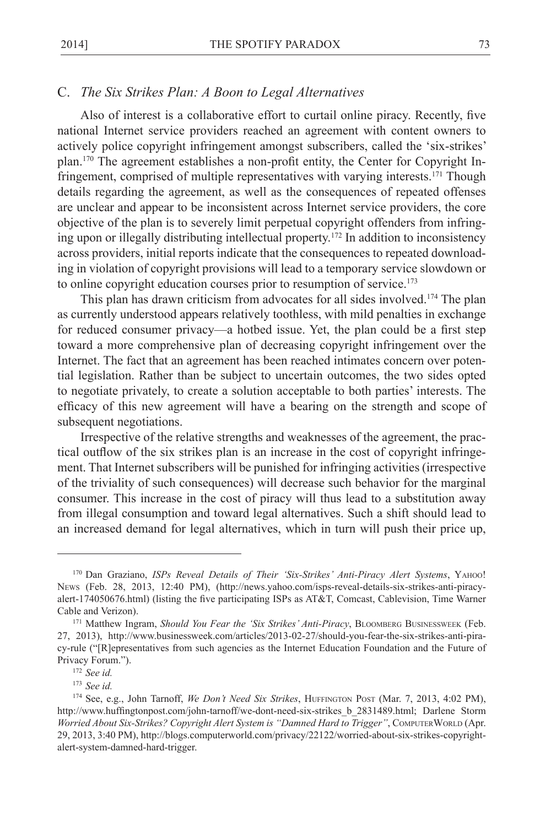# <span id="page-29-0"></span>C. *The Six Strikes Plan: A Boon to Legal Alternatives*

Also of interest is a collaborative effort to curtail online piracy. Recently, five national Internet service providers reached an agreement with content owners to actively police copyright infringement amongst subscribers, called the 'six-strikes' plan.170 The agreement establishes a non-profit entity, the Center for Copyright Infringement, comprised of multiple representatives with varying interests.171 Though details regarding the agreement, as well as the consequences of repeated offenses are unclear and appear to be inconsistent across Internet service providers, the core objective of the plan is to severely limit perpetual copyright offenders from infringing upon or illegally distributing intellectual property.172 In addition to inconsistency across providers, initial reports indicate that the consequences to repeated downloading in violation of copyright provisions will lead to a temporary service slowdown or to online copyright education courses prior to resumption of service.<sup>173</sup>

This plan has drawn criticism from advocates for all sides involved.<sup>174</sup> The plan as currently understood appears relatively toothless, with mild penalties in exchange for reduced consumer privacy—a hotbed issue. Yet, the plan could be a first step toward a more comprehensive plan of decreasing copyright infringement over the Internet. The fact that an agreement has been reached intimates concern over potential legislation. Rather than be subject to uncertain outcomes, the two sides opted to negotiate privately, to create a solution acceptable to both parties' interests. The efficacy of this new agreement will have a bearing on the strength and scope of subsequent negotiations.

Irrespective of the relative strengths and weaknesses of the agreement, the practical outflow of the six strikes plan is an increase in the cost of copyright infringement. That Internet subscribers will be punished for infringing activities (irrespective of the triviality of such consequences) will decrease such behavior for the marginal consumer. This increase in the cost of piracy will thus lead to a substitution away from illegal consumption and toward legal alternatives. Such a shift should lead to an increased demand for legal alternatives, which in turn will push their price up,

<sup>170</sup> Dan Graziano, *ISPs Reveal Details of Their 'Six-Strikes' Anti-Piracy Alert Systems*, Yahoo! News (Feb. 28, 2013, 12:40 PM), [\(http://news.yahoo.com/isps-reveal-details-six-strikes-anti-piracy](http://news.yahoo.com/isps-reveal-details-six-strikes-anti-piracy-alert-174050676.html)[alert-174050676.html](http://news.yahoo.com/isps-reveal-details-six-strikes-anti-piracy-alert-174050676.html)) (listing the five participating ISPs as AT&T, Comcast, Cablevision, Time Warner Cable and Verizon).

<sup>171</sup> Matthew Ingram, *Should You Fear the 'Six Strikes' Anti-Piracy*, Bloomberg Businessweek (Feb. 27, 2013), [http://www.businessweek.com/articles/2013-02-27/should-you-fear-the-six-strikes-anti-pira](http://www.businessweek.com/articles/2013-02-27/should-you-fear-the-six-strikes-anti-piracy-rule)[cy-rule](http://www.businessweek.com/articles/2013-02-27/should-you-fear-the-six-strikes-anti-piracy-rule) ("[R]epresentatives from such agencies as the Internet Education Foundation and the Future of Privacy Forum.").

<sup>172</sup> *See id.*

<sup>173</sup> *See id.*

<sup>174</sup> See, e.g., John Tarnoff, *We Don't Need Six Strikes*, Huffington Post (Mar. 7, 2013, 4:02 PM), [http://www.huffingtonpost.com/john-tarnoff/we-dont-need-six-strikes\\_b\\_2831489.html](http://www.huffingtonpost.com/john-tarnoff/we-dont-need-six-strikes_b_2831489.html); Darlene Storm *Worried About Six-Strikes? Copyright Alert System is "Damned Hard to Trigger"*, ComputerWorld (Apr. 29, 2013, 3:40 PM), [http://blogs.computerworld.com/privacy/22122/worried-about-six-strikes-copyright](http://blogs.computerworld.com/privacy/22122/worried-about-six-strikes-copyright-alert-system-damned)[alert-system-damned-hard-trigger.](http://blogs.computerworld.com/privacy/22122/worried-about-six-strikes-copyright-alert-system-damned)